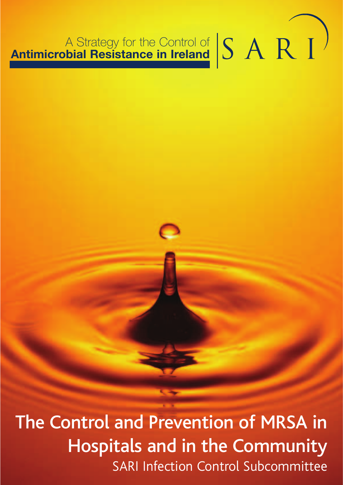# A Strategy for the Control of A Strategy for the Control of **SARI**

The Control and Prevention of MRSA in Hospitals and in the Community SARI Infection Control Subcommittee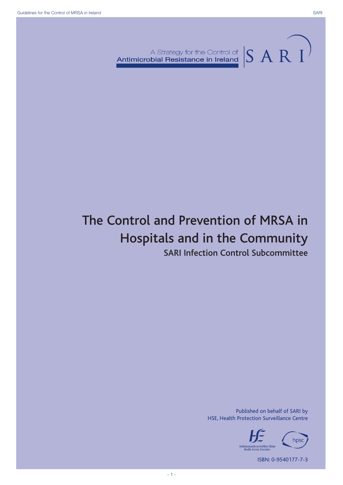A Strategy for the Control of  $|S \text{ A R } I$ 

# The Control and Prevention of MRSA in Hospitals and in the Community

SARI Infection Control Subcommittee

Published on behalf of SARI by HSE, Health Protection Surveillance Centre



ISBN: 0-9540177-7-3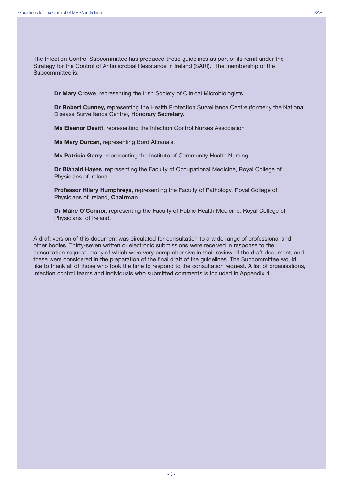The Infection Control Subcommittee has produced these guidelines as part of its remit under the Strategy for the Control of Antimicrobial Resistance in Ireland (SARI). The membership of the Subcommittee is:

**Dr Mary Crowe**, representing the Irish Society of Clinical Microbiologists.

**Dr Robert Cunney,** representing the Health Protection Surveillance Centre (formerly the National Disease Surveillance Centre), **Honorary Secretary**.

**Ms Eleanor Devitt**, representing the Infection Control Nurses Association

**Ms Mary Durcan**, representing Bord Áltranais.

**Ms Patricia Garry**, representing the Institute of Community Health Nursing.

**Dr Blánaid Hayes**, representing the Faculty of Occupational Medicine, Royal College of Physicians of Ireland.

**Professor Hilary Humphreys**, representing the Faculty of Pathology, Royal College of Physicians of Ireland, **Chairman**.

**Dr Máire O'Connor,** representing the Faculty of Public Health Medicine, Royal College of Physicians of Ireland.

A draft version of this document was circulated for consultation to a wide range of professional and other bodies. Thirty-seven written or electronic submissions were received in response to the consultation request, many of which were very comprehensive in their review of the draft document, and these were considered in the preparation of the final draft of the guidelines. The Subcommittee would like to thank all of those who took the time to respond to the consultation request. A list of organisations, infection control teams and individuals who submitted comments is included in Appendix 4.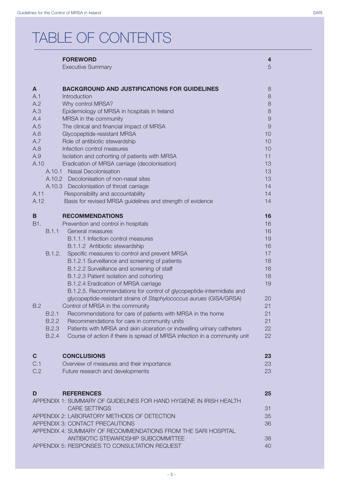# TABLE OF CONTENTS

|              | <b>FOREWORD</b>                                                                               | $\overline{\mathbf{r}}$ |
|--------------|-----------------------------------------------------------------------------------------------|-------------------------|
|              | <b>Executive Summary</b>                                                                      | 5                       |
| A            | <b>BACKGROUND AND JUSTIFICATIONS FOR GUIDELINES</b>                                           | 8                       |
| A.1          | Introduction                                                                                  | 8                       |
| A.2          | Why control MRSA?                                                                             | 8                       |
| A.3          | Epidemiology of MRSA in hospitals in Ireland                                                  | 8                       |
| A.4          | MRSA in the community                                                                         | 9                       |
| A.5          | The clinical and financial impact of MRSA                                                     | 9                       |
| A.6          | Glycopeptide-resistant MRSA                                                                   | 10                      |
| A.7          | Role of antibiotic stewardship                                                                | 10                      |
| A.8          | Infection control measures                                                                    | 10                      |
| A.9          | Isolation and cohorting of patients with MRSA                                                 | 11                      |
| A.10         | Eradication of MRSA carriage (decolonisation)                                                 | 13                      |
| A.10.1       | <b>Nasal Decolonisation</b>                                                                   | 13                      |
|              | A.10.2 Decolonisation of non-nasal sites                                                      | 13                      |
|              | A.10.3 Decolonisation of throat carriage                                                      | 14                      |
| A.11         | Responsibility and accountability                                                             | 14                      |
| A.12         | Basis for revised MRSA guidelines and strength of evidence                                    | 14                      |
| B            | <b>RECOMMENDATIONS</b>                                                                        | 16                      |
| B1.          | Prevention and control in hospitals                                                           | 16                      |
| B.1.1        | General measures                                                                              | 16                      |
|              | B.1.1.1 Infection control measures                                                            | 19                      |
|              | B.1.1.2 Antibiotic stewardship                                                                | 16                      |
| B.1.2.       | Specific measures to control and prevent MRSA                                                 | 17                      |
|              | B.1.2.1 Surveillance and screening of patients<br>B.1.2.2 Surveillance and screening of staff | 18<br>18                |
|              | B.1.2.3 Patient isolation and cohorting                                                       | 18                      |
|              | B.1.2.4 Eradication of MRSA carriage                                                          | 19                      |
|              | B.1.2.5. Recommendations for control of glycopeptide-intermidiate and                         |                         |
|              | glycopeptide-resistant strains of Staphylococcus aurues (GISA/GRSA)                           | 20                      |
| B.2          | Control of MRSA in the community                                                              | 21                      |
| B.2.1        | Recommendations for care of patients with MRSA in the home                                    | 21                      |
| B.2.2        | Recommendations for care in community units                                                   | 21                      |
| <b>B.2.3</b> | Patients with MRSA and skin ulceration or indwelling urinary catheters                        | 22                      |
| <b>B.2.4</b> | Course of action if there is spread of MRSA infection in a community unit                     | 22                      |
|              |                                                                                               |                         |
| C.           | <b>CONCLUSIONS</b>                                                                            | 23                      |
| C.1<br>C.2   | Overview of measures and their importance                                                     | 23<br>23                |
|              | Future research and developments                                                              |                         |
| D            | <b>REFERENCES</b>                                                                             | 25                      |
|              | APPENDIX 1: SUMMARY OF GUIDELINES FOR HAND HYGIENE IN IRISH HEALTH                            |                         |
|              | <b>CARE SETTINGS</b>                                                                          | 31                      |
|              | APPENDIX 2: LABORATORY METHODS OF DETECTION                                                   | 35                      |
|              | APPENDIX 3: CONTACT PRECAUTIONS                                                               | 36                      |
|              | APPENDIX 4: SUMMARY OF RECOMMENDATIONS FROM THE SARI HOSPITAL                                 |                         |
|              | ANTIBIOTIC STEWARDSHIP SUBCOMMITTEE                                                           | 38                      |
|              | APPENDIX 5: RESPONSES TO CONSULTATION REQUEST                                                 | 40                      |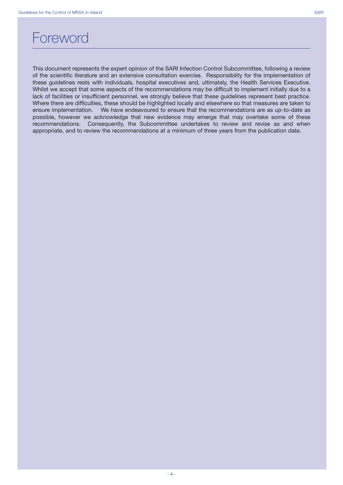### Foreword

This document represents the expert opinion of the SARI Infection Control Subcommittee, following a review of the scientific literature and an extensive consultation exercise. Responsibility for the implementation of these guidelines rests with individuals, hospital executives and, ultimately, the Health Services Executive. Whilst we accept that some aspects of the recommendations may be difficult to implement initially due to a lack of facilities or insufficient personnel, we strongly believe that these guidelines represent best practice. Where there are difficulties, these should be highlighted locally and elsewhere so that measures are taken to ensure implementation. We have endeavoured to ensure that the recommendations are as up-to-date as possible, however we acknowledge that new evidence may emerge that may overtake some of these recommendations. Consequently, the Subcommittee undertakes to review and revise as and when appropriate, and to review the recommendations at a minimum of three years from the publication date.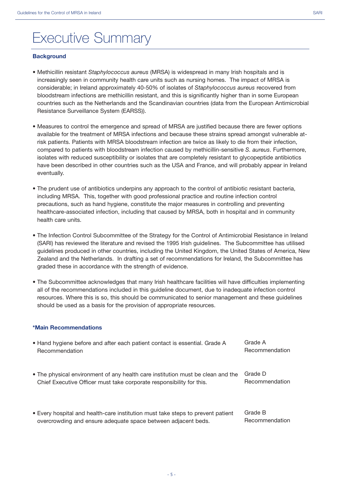## Executive Summary

#### **Background**

- Methicillin resistant *Staphylococcus aureus* (MRSA) is widespread in many Irish hospitals and is increasingly seen in community health care units such as nursing homes. The impact of MRSA is considerable; in Ireland approximately 40-50% of isolates of *Staphylococcus aureus* recovered from bloodstream infections are methicillin resistant, and this is significantly higher than in some European countries such as the Netherlands and the Scandinavian countries (data from the European Antimicrobial Resistance Surveillance System (EARSS)).
- Measures to control the emergence and spread of MRSA are justified because there are fewer options available for the treatment of MRSA infections and because these strains spread amongst vulnerable atrisk patients. Patients with MRSA bloodstream infection are twice as likely to die from their infection, compared to patients with bloodstream infection caused by methicillin-sensitive *S. aureus*. Furthermore, isolates with reduced susceptibility or isolates that are completely resistant to glycopeptide antibiotics have been described in other countries such as the USA and France, and will probably appear in Ireland eventually.
- The prudent use of antibiotics underpins any approach to the control of antibiotic resistant bacteria, including MRSA. This, together with good professional practice and routine infection control precautions, such as hand hygiene, constitute the major measures in controlling and preventing healthcare-associated infection, including that caused by MRSA, both in hospital and in community health care units.
- The Infection Control Subcommittee of the Strategy for the Control of Antimicrobial Resistance in Ireland (SARI) has reviewed the literature and revised the 1995 Irish guidelines. The Subcommittee has utilised guidelines produced in other countries, including the United Kingdom, the United States of America, New Zealand and the Netherlands. In drafting a set of recommendations for Ireland, the Subcommittee has graded these in accordance with the strength of evidence.
- The Subcommittee acknowledges that many Irish healthcare facilities will have difficulties implementing all of the recommendations included in this guideline document, due to inadequate infection control resources. Where this is so, this should be communicated to senior management and these guidelines should be used as a basis for the provision of appropriate resources.

#### **\*Main Recommendations**

| • Hand hygiene before and after each patient contact is essential. Grade A      | Grade A        |
|---------------------------------------------------------------------------------|----------------|
| Recommendation                                                                  | Recommendation |
| • The physical environment of any health care institution must be clean and the | Grade D        |
| Chief Executive Officer must take corporate responsibility for this.            | Recommendation |
| • Every hospital and health-care institution must take steps to prevent patient | Grade B        |
| overcrowding and ensure adequate space between adjacent beds.                   | Recommendation |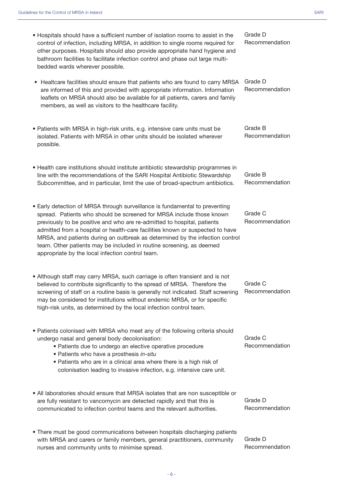| • Hospitals should have a sufficient number of isolation rooms to assist in the<br>control of infection, including MRSA, in addition to single rooms required for<br>other purposes. Hospitals should also provide appropriate hand hygiene and<br>bathroom facilities to facilitate infection control and phase out large multi-<br>bedded wards wherever possible.                                                                                                                                                        | Grade D<br>Recommendation |
|-----------------------------------------------------------------------------------------------------------------------------------------------------------------------------------------------------------------------------------------------------------------------------------------------------------------------------------------------------------------------------------------------------------------------------------------------------------------------------------------------------------------------------|---------------------------|
| Healtcare facilities should ensure that patients who are found to carry MRSA<br>$\bullet$<br>are informed of this and provided with appropriate information. Information<br>leaflets on MRSA should also be available for all patients, carers and family<br>members, as well as visitors to the healthcare facility.                                                                                                                                                                                                       | Grade D<br>Recommendation |
| • Patients with MRSA in high-risk units, e.g. intensive care units must be<br>isolated. Patients with MRSA in other units should be isolated wherever<br>possible.                                                                                                                                                                                                                                                                                                                                                          | Grade B<br>Recommendation |
| • Health care institutions should institute antibiotic stewardship programmes in<br>line with the recommendations of the SARI Hospital Antibiotic Stewardship<br>Subcommittee, and in particular, limit the use of broad-spectrum antibiotics.                                                                                                                                                                                                                                                                              | Grade B<br>Recommendation |
| • Early detection of MRSA through surveillance is fundamental to preventing<br>spread. Patients who should be screened for MRSA include those known<br>previously to be positive and who are re-admitted to hospital, patients<br>admitted from a hospital or health-care facilities known or suspected to have<br>MRSA, and patients during an outbreak as determined by the infection control<br>team. Other patients may be included in routine screening, as deemed<br>appropriate by the local infection control team. | Grade C<br>Recommendation |
| • Although staff may carry MRSA, such carriage is often transient and is not<br>believed to contribute significantly to the spread of MRSA. Therefore the<br>screening of staff on a routine basis is generally not indicated. Staff screening<br>may be considered for institutions without endemic MRSA, or for specific<br>high-risk units, as determined by the local infection control team.                                                                                                                           | Grade C<br>Recommendation |
| • Patients colonised with MRSA who meet any of the following criteria should<br>undergo nasal and general body decolonisation:<br>• Patients due to undergo an elective operative procedure<br>· Patients who have a prosthesis in-situ<br>• Patients who are in a clinical area where there is a high risk of<br>colonisation leading to invasive infection, e.g. intensive care unit.                                                                                                                                     | Grade C<br>Recommendation |
| . All laboratories should ensure that MRSA isolates that are non susceptible or<br>are fully resistant to vancomycin are detected rapidly and that this is<br>communicated to infection control teams and the relevant authorities.                                                                                                                                                                                                                                                                                         | Grade D<br>Recommendation |
| . There must be good communications between hospitals discharging patients<br>with MRSA and carers or family members, general practitioners, community<br>nurses and community units to minimise spread.                                                                                                                                                                                                                                                                                                                    | Grade D<br>Recommendation |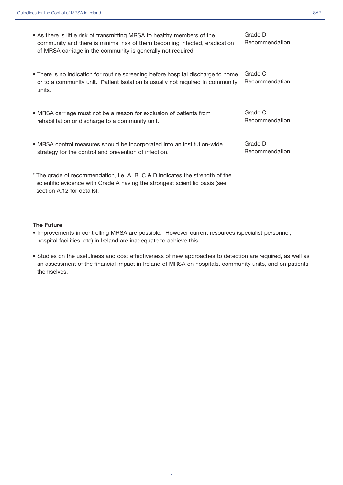• As there is little risk of transmitting MRSA to healthy members of the community and there is minimal risk of them becoming infected, eradication of MRSA carriage in the community is generally not required. Grade D Recommendation

- MRSA carriage must not be a reason for exclusion of patients from rehabilitation or discharge to a community unit. Grade C Recommendation
- MRSA control measures should be incorporated into an institution-wide strategy for the control and prevention of infection.

\* The grade of recommendation, i.e. A, B, C & D indicates the strength of the scientific evidence with Grade A having the strongest scientific basis (see section A.12 for details).

#### **The Future**

- Improvements in controlling MRSA are possible. However current resources (specialist personnel, hospital facilities, etc) in Ireland are inadequate to achieve this.
- Studies on the usefulness and cost effectiveness of new approaches to detection are required, as well as an assessment of the financial impact in Ireland of MRSA on hospitals, community units, and on patients themselves.

Grade D

Recommendation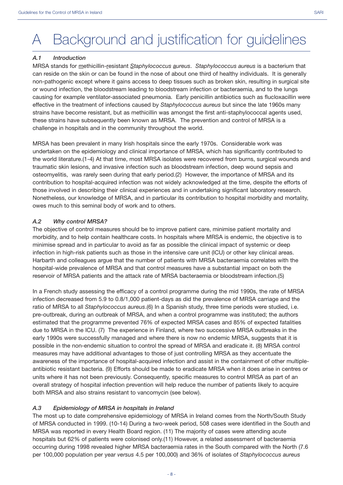# A Background and justification for guidelines

#### *A.1 Introduction*

MRSA stands for methicillin-resistant *Staphylococcus aureus*. *Staphylococcus aureus* is a bacterium that can reside on the skin or can be found in the nose of about one third of healthy individuals. It is generally non-pathogenic except where it gains access to deep tissues such as broken skin, resulting in surgical site or wound infection, the bloodstream leading to bloodstream infection or bacteraemia, and to the lungs causing for example ventilator-associated pneumonia. Early penicillin antibiotics such as flucloxacillin were effective in the treatment of infections caused by *Staphylococcus aureus* but since the late 1960s many strains have become resistant, but as methicillin was amongst the first anti-staphylococcal agents used, these strains have subsequently been known as MRSA. The prevention and control of MRSA is a challenge in hospitals and in the community throughout the world.

MRSA has been prevalent in many Irish hospitals since the early 1970s. Considerable work was undertaken on the epidemiology and clinical importance of MRSA, which has significantly contributed to the world literature.(1-4) At that time, most MRSA isolates were recovered from burns, surgical wounds and traumatic skin lesions, and invasive infection such as bloodstream infection, deep wound sepsis and osteomyelitis, was rarely seen during that early period.(2) However, the importance of MRSA and its contribution to hospital-acquired infection was not widely acknowledged at the time, despite the efforts of those involved in describing their clinical experiences and in undertaking significant laboratory research. Nonetheless, our knowledge of MRSA, and in particular its contribution to hospital morbidity and mortality, owes much to this seminal body of work and to others.

#### *A.2 Why control MRSA?*

The objective of control measures should be to improve patient care, minimise patient mortality and morbidity, and to help contain healthcare costs. In hospitals where MRSA is endemic, the objective is to minimise spread and in particular to avoid as far as possible the clinical impact of systemic or deep infection in high-risk patients such as those in the intensive care unit (ICU) or other key clinical areas. Harbarth and colleagues argue that the number of patients with MRSA bacteraemia correlates with the hospital-wide prevalence of MRSA and that control measures have a substantial impact on both the reservoir of MRSA patients and the attack rate of MRSA bacteraemia or bloodstream infection.(5)

In a French study assessing the efficacy of a control programme during the mid 1990s, the rate of MRSA infection decreased from 5.9 to 0.8/1,000 patient-days as did the prevalence of MRSA carriage and the ratio of MRSA to all *Staphylococcus aureus*.(6) In a Spanish study, three time periods were studied, i.e. pre-outbreak, during an outbreak of MRSA, and when a control programme was instituted; the authors estimated that the programme prevented 76% of expected MRSA cases and 85% of expected fatalities due to MRSA in the ICU. (7) The experience in Finland, where two successive MRSA outbreaks in the early 1990s were successfully managed and where there is now no endemic MRSA, suggests that it is possible in the non-endemic situation to control the spread of MRSA and eradicate it. (8) MRSA control measures may have additional advantages to those of just controlling MRSA as they accentuate the awareness of the importance of hospital-acquired infection and assist in the containment of other multipleantibiotic resistant bacteria. (9) Efforts should be made to eradicate MRSA when it does arise in centres or units where it has not been previously. Consequently, specific measures to control MRSA as part of an overall strategy of hospital infection prevention will help reduce the number of patients likely to acquire both MRSA and also strains resistant to vancomycin (see below).

#### *A.3 Epidemiology of MRSA in hospitals in Ireland*

The most up to date comprehensive epidemiology of MRSA in Ireland comes from the North/South Study of MRSA conducted in 1999. (10-14) During a two-week period, 508 cases were identified in the South and MRSA was reported in every Health Board region. (11) The majority of cases were attending acute hospitals but 62% of patients were colonised only.(11) However, a related assessment of bacteraemia occurring during 1998 revealed higher MRSA bacteraemia rates in the South compared with the North (7.6 per 100,000 population per year *versus* 4.5 per 100,000) and 36% of isolates of *Staphylococcus aureus*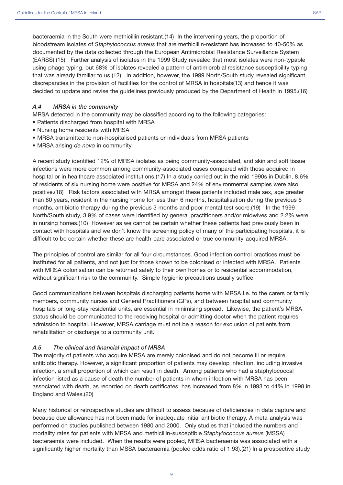bacteraemia in the South were methicillin resistant.(14) In the intervening years, the proportion of bloodstream isolates of *Staphylococcus aureus* that are methicillin-resistant has increased to 40-50% as documented by the data collected through the European Antimicrobial Resistance Surveillance System (EARSS).(15) Further analysis of isolates in the 1999 Study revealed that most isolates were non-typable using phage typing, but 68% of isolates revealed a pattern of antimicrobial resistance susceptibility typing that was already familiar to us.(12) In addition, however, the 1999 North/South study revealed significant discrepancies in the provision of facilities for the control of MRSA in hospitals(13) and hence it was decided to update and revise the guidelines previously produced by the Department of Health in 1995.(16)

#### *A.4 MRSA in the community*

MRSA detected in the community may be classified according to the following categories:

- Patients discharged from hospital with MRSA
- Nursing home residents with MRSA
- MRSA transmitted to non-hospitalised patients or individuals from MRSA patients
- MRSA arising *de novo* in community

A recent study identified 12% of MRSA isolates as being community-associated, and skin and soft tissue infections were more common among community-associated cases compared with those acquired in hospital or in healthcare associated institutions.(17) In a study carried out in the mid 1990s in Dublin, 8.6% of residents of six nursing home were positive for MRSA and 24% of environmental samples were also positive.(18) Risk factors associated with MRSA amongst these patients included male sex, age greater than 80 years, resident in the nursing home for less than 6 months, hospitalisation during the previous 6 months, antibiotic therapy during the previous 3 months and poor mental test score.(19) In the 1999 North/South study, 3.9% of cases were identified by general practitioners and/or midwives and 2.2% were in nursing homes.(10) However as we cannot be certain whether these patients had previously been in contact with hospitals and we don't know the screening policy of many of the participating hospitals, it is difficult to be certain whether these are health-care associated or true community-acquired MRSA.

The principles of control are similar for all four circumstances. Good infection control practices must be instituted for all patients, and not just for those known to be colonised or infected with MRSA. Patients with MRSA colonisation can be returned safely to their own homes or to residential accommodation, without significant risk to the community. Simple hygienic precautions usually suffice.

Good communications between hospitals discharging patients home with MRSA i.e. to the carers or family members, community nurses and General Practitioners (GPs), and between hospital and community hospitals or long-stay residential units, are essential in minimising spread. Likewise, the patient's MRSA status should be communicated to the receiving hospital or admitting doctor when the patient requires admission to hospital. However, MRSA carriage must not be a reason for exclusion of patients from rehabilitation or discharge to a community unit.

#### *A.5 The clinical and financial impact of MRSA*

The majority of patients who acquire MRSA are merely colonised and do not become ill or require antibiotic therapy. However, a significant proportion of patients may develop infection, including invasive infection, a small proportion of which can result in death. Among patients who had a staphylococcal infection listed as a cause of death the number of patients in whom infection with MRSA has been associated with death, as recorded on death certificates, has increased from 8% in 1993 to 44% in 1998 in England and Wales.(20)

Many historical or retrospective studies are difficult to assess because of deficiencies in data capture and because due allowance has not been made for inadequate initial antibiotic therapy. A meta-analysis was performed on studies published between 1980 and 2000. Only studies that included the numbers and mortality rates for patients with MRSA and methicillin-susceptible *Staphylococcus aureus* (MSSA) bacteraemia were included. When the results were pooled, MRSA bacteraemia was associated with a significantly higher mortality than MSSA bacteraemia (pooled odds ratio of 1.93).(21) In a prospective study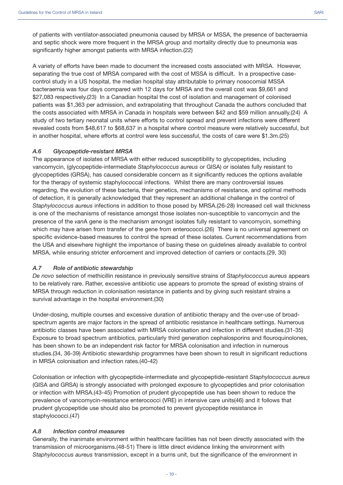A variety of efforts have been made to document the increased costs associated with MRSA. However, separating the true cost of MRSA compared with the cost of MSSA is difficult. In a prospective casecontrol study in a US hospital, the median hospital stay attributable to primary nosocomial MSSA bacteraemia was four days compared with 12 days for MRSA and the overall cost was \$9,661 and \$27,083 respectively.(23) In a Canadian hospital the cost of isolation and management of colonised patients was \$1,363 per admission, and extrapolating that throughout Canada the authors concluded that the costs associated with MRSA in Canada in hospitals were between \$42 and \$59 million annually.(24) A study of two tertiary neonatal units where efforts to control spread and prevent infections were different revealed costs from \$48,617 to \$68,637 in a hospital where control measure were relatively successful, but in another hospital, where efforts at control were less successful, the costs of care were \$1.3m.(25)

#### *A.6 Glycopeptide-resistant MRSA*

The appearance of isolates of MRSA with either reduced susceptibility to glycopeptides, including vancomycin, (glycopeptide-intermediate *Staphylococcus aureus* or GISA) or isolates fully resistant to glycopeptides (GRSA), has caused considerable concern as it significantly reduces the options available for the therapy of systemic staphylococcal infections. Whilst there are many controversial issues regarding, the evolution of these bacteria, their genetics, mechanisms of resistance, and optimal methods of detection, it is generally acknowledged that they represent an additional challenge in the control of *Staphylococcus aureus* infections in addition to those posed by MRSA.(26-28) Increased cell wall thickness is one of the mechanisms of resistance amongst those isolates non-susceptible to vancomycin and the presence of the *van*A gene is the mechanism amongst isolates fully resistant to vancomycin, something which may have arisen from transfer of the gene from enterococci.(26) There is no universal agreement on specific evidence-based measures to control the spread of these isolates. Current recommendations from the USA and elsewhere highlight the importance of basing these on guidelines already available to control MRSA, while ensuring stricter enforcement and improved detection of carriers or contacts.(29, 30)

#### *A.7 Role of antibiotic stewardship*

*De novo* selection of methicillin resistance in previously sensitive strains of *Staphylococcus aureus* appears to be relatively rare. Rather, excessive antibiotic use appears to promote the spread of existing strains of MRSA through reduction in colonisation resistance in patients and by giving such resistant strains a survival advantage in the hospital environment.(30)

Under-dosing, multiple courses and excessive duration of antibiotic therapy and the over-use of broadspectrum agents are major factors in the spread of antibiotic resistance in healthcare settings. Numerous antibiotic classes have been associated with MRSA colonisation and infection in different studies.(31-35) Exposure to broad spectrum antibiotics, particularly third generation cephalosporins and flouroquinolones, has been shown to be an independent risk factor for MRSA colonisation and infection in numerous studies.(34, 36-39) Antibiotic stewardship programmes have been shown to result in significant reductions in MRSA colonisation and infection rates.(40-42)

Colonisation or infection with glycopeptide-intermediate and glycopeptide-resistant *Staphylococcus aureus* (GISA and GRSA) is strongly associated with prolonged exposure to glycopeptides and prior colonisation or infection with MRSA.(43-45) Promotion of prudent glycopeptide use has been shown to reduce the prevalence of vancomycin-resistance enterococci (VRE) in intensive care units(46) and it follows that prudent glycopeptide use should also be promoted to prevent glycopeptide resistance in staphylococci.(47)

#### *A.8 Infection control measures*

Generally, the inanimate environment within healthcare facilities has not been directly associated with the transmission of microorganisms.(48-51) There is little direct evidence linking the environment with *Staphylococcus aureus* transmission, except in a burns unit, but the significance of the environment in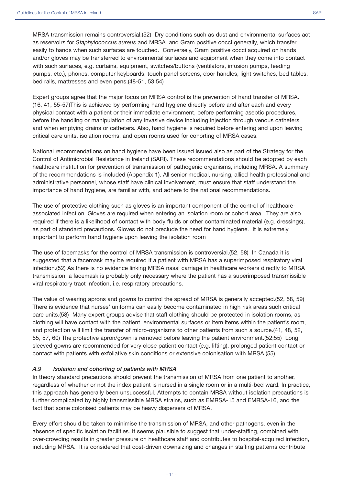bed rails, mattresses and even pens.(48-51, 53;54)

MRSA transmission remains controversial.(52) Dry conditions such as dust and environmental surfaces act as reservoirs for *Staphylococcus aureus* and MRSA*,* and Gram positive cocci generally, which transfer easily to hands when such surfaces are touched. Conversely, Gram positive cocci acquired on hands and/or gloves may be transferred to environmental surfaces and equipment when they come into contact with such surfaces, e.g. curtains, equipment, switches/buttons (ventilators, infusion pumps, feeding

Expert groups agree that the major focus on MRSA control is the prevention of hand transfer of MRSA. (16, 41, 55-57)This is achieved by performing hand hygiene directly before and after each and every physical contact with a patient or their immediate environment, before performing aseptic procedures, before the handling or manipulation of any invasive device including injection through venous catheters and when emptying drains or catheters. Also, hand hygiene is required before entering and upon leaving critical care units, isolation rooms, and open rooms used for cohorting of MRSA cases.

pumps, etc.), phones, computer keyboards, touch panel screens, door handles, light switches, bed tables,

National recommendations on hand hygiene have been issued issued also as part of the Strategy for the Control of Antimicrobial Resistance in Ireland (SARI). These recommendations should be adopted by each healthcare institution for prevention of transmission of pathogenic organisms, including MRSA. A summary of the recommendations is included (Appendix 1). All senior medical, nursing, allied health professional and administrative personnel, whose staff have clinical involvement, must ensure that staff understand the importance of hand hygiene, are familiar with, and adhere to the national recommendations.

The use of protective clothing such as gloves is an important component of the control of healthcareassociated infection. Gloves are required when entering an isolation room or cohort area. They are also required if there is a likelihood of contact with body fluids or other contaminated material (e.g. dressings), as part of standard precautions. Gloves do not preclude the need for hand hygiene. It is extremely important to perform hand hygiene upon leaving the isolation room

The use of facemasks for the control of MRSA transmission is controversial.(52, 58) In Canada it is suggested that a facemask may be required if a patient with MRSA has a superimposed respiratory viral infection.(52) As there is no evidence linking MRSA nasal carriage in healthcare workers directly to MRSA transmission, a facemask is probably only necessary where the patient has a superimposed transmissible viral respiratory tract infection, i.e. respiratory precautions.

The value of wearing aprons and gowns to control the spread of MRSA is generally accepted.(52, 58, 59) There is evidence that nurses' uniforms can easily become contaminated in high risk areas such critical care units.(58) Many expert groups advise that staff clothing should be protected in isolation rooms, as clothing will have contact with the patient, environmental surfaces or item items within the patient's room, and protection will limit the transfer of micro-organisms to other patients from such a source.(41, 48, 52, 55, 57, 60) The protective apron/gown is removed before leaving the patient environment.(52;55) Long sleeved gowns are recommended for very close patient contact (e.g. lifting), prolonged patient contact or contact with patients with exfoliative skin conditions or extensive colonisation with MRSA.(55)

#### *A.9 Isolation and cohorting of patients with MRSA*

In theory standard precautions should prevent the transmission of MRSA from one patient to another, regardless of whether or not the index patient is nursed in a single room or in a multi-bed ward. In practice, this approach has generally been unsuccessful. Attempts to contain MRSA without isolation precautions is further complicated by highly transmissible MRSA strains, such as EMRSA-15 and EMRSA-16, and the fact that some colonised patients may be heavy dispersers of MRSA.

Every effort should be taken to minimise the transmission of MRSA, and other pathogens, even in the absence of specific isolation facilities. It seems plausible to suggest that under-staffing, combined with over-crowding results in greater pressure on healthcare staff and contributes to hospital-acquired infection, including MRSA. It is considered that cost-driven downsizing and changes in staffing patterns contribute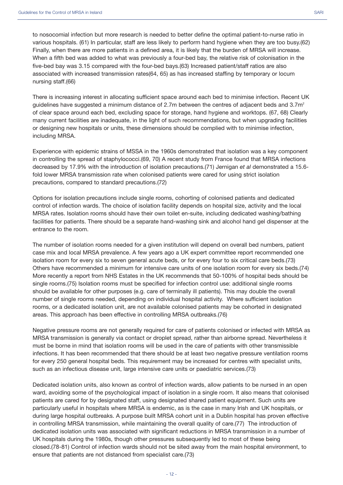to nosocomial infection but more research is needed to better define the optimal patient-to-nurse ratio in various hospitals. (61) In particular, staff are less likely to perform hand hygiene when they are too busy.(62) Finally, when there are more patients in a defined area, it is likely that the burden of MRSA will increase. When a fifth bed was added to what was previously a four-bed bay, the relative risk of colonisation in the five-bed bay was 3.15 compared with the four-bed bays.(63) Increased patient/staff ratios are also associated with increased transmission rates(64, 65) as has increased staffing by temporary or locum nursing staff.(66)

There is increasing interest in allocating sufficient space around each bed to minimise infection. Recent UK quidelines have suggested a minimum distance of 2.7m between the centres of adjacent beds and 3.7 $m<sup>2</sup>$ of clear space around each bed, excluding space for storage, hand hygiene and worktops. (67, 68) Clearly many current facilities are inadequate, in the light of such recommendations, but when upgrading facilities or designing new hospitals or units, these dimensions should be complied with to minimise infection, including MRSA.

Experience with epidemic strains of MSSA in the 1960s demonstrated that isolation was a key component in controlling the spread of staphylococci.(69, 70) A recent study from France found that MRSA infections decreased by 17.9% with the introduction of isolation precautions.(71) Jernigan *et al* demonstrated a 15.6 fold lower MRSA transmission rate when colonised patients were cared for using strict isolation precautions, compared to standard precautions.(72)

Options for isolation precautions include single rooms, cohorting of colonised patients and dedicated control of infection wards. The choice of isolation facility depends on hospital size, activity and the local MRSA rates. Isolation rooms should have their own toilet en-suite, including dedicated washing/bathing facilities for patients. There should be a separate hand-washing sink and alcohol hand gel dispenser at the entrance to the room.

The number of isolation rooms needed for a given institution will depend on overall bed numbers, patient case mix and local MRSA prevalence. A few years ago a UK expert committee report recommended one isolation room for every six to seven general acute beds, or for every four to six critical care beds.(73) Others have recommended a minimum for intensive care units of one isolation room for every six beds.(74) More recently a report from NHS Estates in the UK recommends that 50-100% of hospital beds should be single rooms.(75) Isolation rooms must be specified for infection control use: additional single rooms should be available for other purposes (e.g. care of terminally ill patients). This may double the overall number of single rooms needed, depending on individual hospital activity. Where sufficient isolation rooms, or a dedicated isolation unit, are not available colonised patients may be cohorted in designated areas. This approach has been effective in controlling MRSA outbreaks.(76)

Negative pressure rooms are not generally required for care of patients colonised or infected with MRSA as MRSA transmission is generally via contact or droplet spread, rather than airborne spread. Nevertheless it must be borne in mind that isolation rooms will be used in the care of patients with other transmissible infections. It has been recommended that there should be at least two negative pressure ventilation rooms for every 250 general hospital beds. This requirement may be increased for centres with specialist units, such as an infectious disease unit, large intensive care units or paediatric services.(73)

Dedicated isolation units, also known as control of infection wards, allow patients to be nursed in an open ward, avoiding some of the psychological impact of isolation in a single room. It also means that colonised patients are cared for by designated staff, using designated shared patient equipment. Such units are particularly useful in hospitals where MRSA is endemic, as is the case in many Irish and UK hospitals, or during large hospital outbreaks. A purpose built MRSA cohort unit in a Dublin hospital has proven effective in controlling MRSA transmission, while maintaining the overall quality of care.(77) The introduction of dedicated isolation units was associated with significant reductions in MRSA transmission in a number of UK hospitals during the 1980s, though other pressures subsequently led to most of these being closed.(78-81) Control of infection wards should not be sited away from the main hospital environment, to ensure that patients are not distanced from specialist care.(73)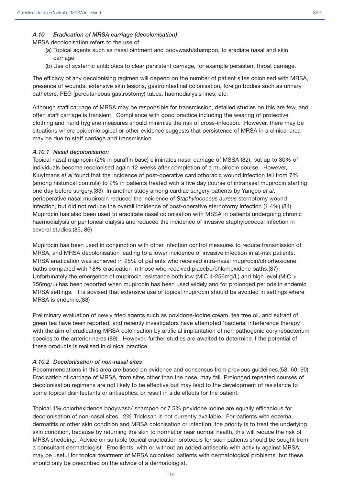#### *A.10 Eradication of MRSA carriage (decolonisation)*

MRSA decolonisation refers to the use of

- (a) Topical agents such as nasal ointment and bodywash/shampoo, to eradiate nasal and skin carriage
- (b) Use of systemic antibiotics to clear persistent carriage, for example persistent throat carriage.

The efficacy of any decolonising regimen will depend on the number of patient sites colonised with MRSA, presence of wounds, extensive skin lesions, gastrointestinal colonisation, foreign bodies such as urinary catheters, PEG (percutaneous gastrostomy) tubes, haemodialysis lines, etc.

Although staff carriage of MRSA may be responsible for transmission, detailed studies on this are few, and often staff carriage is transient. Compliance with good practice including the wearing of protective clothing and hand hygiene measures should minimise the risk of cross-infection. However, there may be situations where epidemiological or other evidence suggests that persistence of MRSA in a clinical area may be due to staff carriage and transmission.

#### *A.10.1 Nasal decolonisation*

Topical nasal mupirocin (2% in paraffin base) eliminates nasal carriage of MSSA (82), but up to 30% of individuals become recolonised again 12 weeks after completion of a mupirocin course. However, Kluytmans *et al* found that the incidence of post-operative cardiothoracic wound infection fell from 7% (among historical controls) to 2% in patients treated with a five day course of intranasal mupirocin starting one day before surgery.(83) In another study among cardiac surgery patients by Yangco *et al*, perioperative nasal mupirocin reduced the incidence of *Staphylococcus aureus* sternotomy wound infection, but did not reduce the overall incidence of post-operative sternotomy infection (1.4%).(84) Mupirocin has also been used to eradicate nasal colonisation with MSSA in patients undergoing chronic haemodialysis or peritoneal dialysis and reduced the incidence of invasive staphylococcal infection in several studies.(85, 86)

Mupirocin has been used in conjunction with other infection control measures to reduce transmission of MRSA, and MRSA decolonisation leading to a lower incidence of invasive infection in at-risk patients. MRSA eradication was achieved in 25% of patients who received intra-nasal mupirocin/chlorhexidene baths compared with 18% eradication in those who received placebo/chlorhexidene baths.(87) Unfortunately the emergence of mupirocin resistance both low (MIC 4-256mg/L) and high level (MIC > 256mg/L) has been reported when mupirocin has been used widely and for prolonged periods in endemic MRSA settings. It is advised that extensive use of topical mupirocin should be avoided in settings where MRSA is endemic.(88)

Preliminary evaluation of newly tried agents such as povidone-iodine cream, tea tree oil, and extract of green tea have been reported, and recently investigators have attempted 'bacterial interference therapy' with the aim of eradicating MRSA colonisation by artificial implantation of non pathogenic corynebacterium species to the anterior nares.(89) However, further studies are awaited to determine if the potential of these products is realised in clinical practice.

#### *A.10.2 Decolonisation of non-nasal sites*

Recommendations in this area are based on evidence and consensus from previous guidelines.(58, 60, 90) Eradication of carriage of MRSA, from sites other than the nose, may fail. Prolonged repeated courses of decolonisation regimens are not likely to be effective but may lead to the development of resistance to some topical disinfectants or antiseptics, or result in side effects for the patient.

Topical 4% chlorhexidence bodywash/ shampoo or 7.5% povidone iodine are equally efficacious for decolonisation of non-nasal sites. 2% Triclosan is not currently available. For patients with eczema, dermatitis or other skin condition and MRSA colonisation or infection, the priority is to treat the underlying skin condition, because by returning the skin to normal or near normal health, this will reduce the risk of MRSA shedding. Advice on suitable topical eradication protocols for such patients should be sought from a consultant dermatologist. Emollients, with or without an added antiseptic with activity against MRSA, may be useful for topical treatment of MRSA colonised patients with dermatological problems, but these should only be prescribed on the advice of a dermatologist.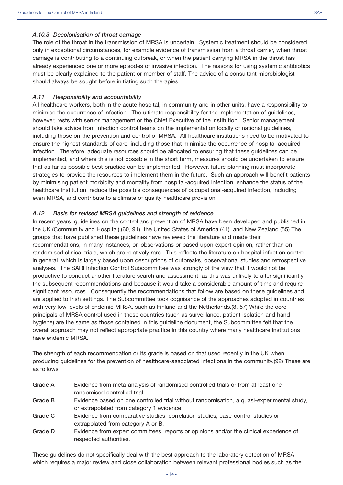#### *A.10.3 Decolonisation of throat carriage*

The role of the throat in the transmission of MRSA is uncertain. Systemic treatment should be considered only in exceptional circumstances, for example evidence of transmission from a throat carrier, when throat carriage is contributing to a continuing outbreak, or when the patient carrying MRSA in the throat has already experienced one or more episodes of invasive infection. The reasons for using systemic antibiotics must be clearly explained to the patient or member of staff. The advice of a consultant microbiologist should always be sought before initiating such therapies

#### *A.11 Responsibility and accountability*

All healthcare workers, both in the acute hospital, in community and in other units, have a responsibility to minimise the occurrence of infection. The ultimate responsibility for the implementation of guidelines, however, rests with senior management or the Chief Executive of the institution. Senior management should take advice from infection control teams on the implementation locally of national guidelines, including those on the prevention and control of MRSA. All healthcare institutions need to be motivated to ensure the highest standards of care, including those that minimise the occurrence of hospital-acquired infection. Therefore, adequate resources should be allocated to ensuring that these guidelines can be implemented, and where this is not possible in the short term, measures should be undertaken to ensure that as far as possible best practice can be implemented. However, future planning must incorporate strategies to provide the resources to implement them in the future. Such an approach will benefit patients by minimising patient morbidity and mortality from hospital-acquired infection, enhance the status of the healthcare institution, reduce the possible consequences of occupational-acquired infection, including even MRSA, and contribute to a climate of quality healthcare provision.

#### *A.12 Basis for revised MRSA guidelines and strength of evidence*

In recent years, guidelines on the control and prevention of MRSA have been developed and published in the UK (Community and Hospital),(60, 91) the United States of America (41) and New Zealand.(55) The groups that have published these guidelines have reviewed the literature and made their recommendations, in many instances, on observations or based upon expert opinion, rather than on randomised clinical trials, which are relatively rare. This reflects the literature on hospital infection control in general, which is largely based upon descriptions of outbreaks, observational studies and retrospective analyses. The SARI Infection Control Subcommittee was strongly of the view that it would not be productive to conduct another literature search and assessment, as this was unlikely to alter significantly the subsequent recommendations and because it would take a considerable amount of time and require significant resources. Consequently the recommendations that follow are based on these guidelines and are applied to Irish settings. The Subcommittee took cognisance of the approaches adopted in countries with very low levels of endemic MRSA, such as Finland and the Netherlands.(8, 57) While the core principals of MRSA control used in these countries (such as surveillance, patient isolation and hand hygiene) are the same as those contained in this guideline document, the Subcommittee felt that the overall approach may not reflect appropriate practice in this country where many healthcare institutions have endemic MRSA.

The strength of each recommendation or its grade is based on that used recently in the UK when producing guidelines for the prevention of healthcare-associated infections in the community.(92) These are as follows

| Grade A | Evidence from meta-analysis of randomised controlled trials or from at least one<br>randomised controlled trial.                       |
|---------|----------------------------------------------------------------------------------------------------------------------------------------|
| Grade B | Evidence based on one controlled trial without randomisation, a quasi-experimental study,<br>or extrapolated from category 1 evidence. |
| Grade C | Evidence from comparative studies, correlation studies, case-control studies or<br>extrapolated from category A or B.                  |
| Grade D | Evidence from expert committees, reports or opinions and/or the clinical experience of<br>respected authorities.                       |

These guidelines do not specifically deal with the best approach to the laboratory detection of MRSA which requires a major review and close collaboration between relevant professional bodies such as the

 $-14-$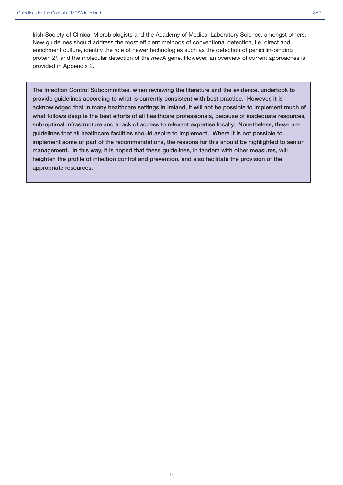**The Infection Control Subcommittee, when reviewing the literature and the evidence, undertook to provide guidelines according to what is currently consistent with best practice. However, it is acknowledged that in many healthcare settings in Ireland, it will not be possible to implement much of what follows despite the best efforts of all healthcare professionals, because of inadequate resources, sub-optimal infrastructure and a lack of access to relevant expertise locally. Nonetheless, these are guidelines that all healthcare facilities should aspire to implement. Where it is not possible to implement some or part of the recommendations, the reasons for this should be highlighted to senior management. In this way, it is hoped that these guidelines, in tandem with other measures, will heighten the profile of infection control and prevention, and also facilitate the provision of the appropriate resources.**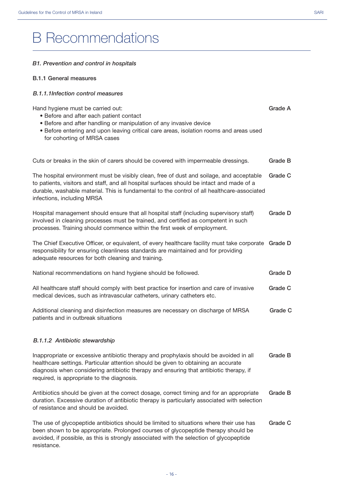# B Recommendations

#### *B1. Prevention and control in hospitals*

#### **B.1.1 General measures**

#### *B.1.1.1Infection control measures*

Hand hygiene must be carried out: • Before and after each patient contact • Before and after handling or manipulation of any invasive device • Before entering and upon leaving critical care areas, isolation rooms and areas used for cohorting of MRSA cases Cuts or breaks in the skin of carers should be covered with impermeable dressings. The hospital environment must be visibly clean, free of dust and soilage, and acceptable to patients, visitors and staff, and all hospital surfaces should be intact and made of a durable, washable material. This is fundamental to the control of all healthcare-associated infections, including MRSA Hospital management should ensure that all hospital staff (including supervisory staff) involved in cleaning processes must be trained, and certified as competent in such processes. Training should commence within the first week of employment. The Chief Executive Officer, or equivalent, of every healthcare facility must take corporate **Grade D** responsibility for ensuring cleanliness standards are maintained and for providing adequate resources for both cleaning and training. National recommendations on hand hygiene should be followed. All healthcare staff should comply with best practice for insertion and care of invasive medical devices, such as intravascular catheters, urinary catheters etc. Additional cleaning and disinfection measures are necessary on discharge of MRSA patients and in outbreak situations *B.1.1.2 Antibiotic stewardship*  Inappropriate or excessive antibiotic therapy and prophylaxis should be avoided in all healthcare settings. Particular attention should be given to obtaining an accurate diagnosis when considering antibiotic therapy and ensuring that antibiotic therapy, if required, is appropriate to the diagnosis. Antibiotics should be given at the correct dosage, correct timing and for an appropriate **Grade A Grade B Grade C Grade D Grade D Grade C Grade C Grade B Grade B**

duration. Excessive duration of antibiotic therapy is particularly associated with selection of resistance and should be avoided.

The use of glycopeptide antibiotics should be limited to situations where their use has been shown to be appropriate. Prolonged courses of glycopeptide therapy should be avoided, if possible, as this is strongly associated with the selection of glycopeptide resistance. **Grade C**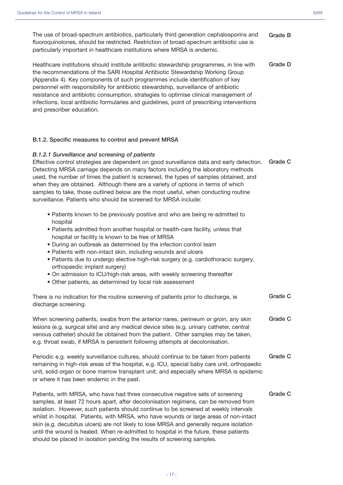| The use of broad-spectrum antibiotics, particularly third generation cephalosporins and<br>fluoroquinolones, should be restricted. Restriction of broad-spectrum antibiotic use is<br>particularly important in healthcare institutions where MRSA is endemic.                                                                                                                                                                                                                                                                                                                                                                 | <b>Grade B</b> |
|--------------------------------------------------------------------------------------------------------------------------------------------------------------------------------------------------------------------------------------------------------------------------------------------------------------------------------------------------------------------------------------------------------------------------------------------------------------------------------------------------------------------------------------------------------------------------------------------------------------------------------|----------------|
| Healthcare institutions should institute antibiotic stewardship programmes, in line with<br>the recommendations of the SARI Hospital Antibiotic Stewardship Working Group<br>(Appendix 4). Key components of such programmes include identification of key<br>personnel with responsibility for antibiotic stewardship, surveillance of antibiotic<br>resistance and antibiotic consumption, strategies to optimise clinical management of<br>infections, local antibiotic formularies and guidelines, point of prescribing interventions<br>and prescriber education.                                                         | <b>Grade D</b> |
| B.1.2. Specific measures to control and prevent MRSA                                                                                                                                                                                                                                                                                                                                                                                                                                                                                                                                                                           |                |
| B.1.2.1 Surveillance and screening of patients<br>Effective control strategies are dependent on good surveillance data and early detection.<br>Detecting MRSA carriage depends on many factors including the laboratory methods<br>used, the number of times the patient is screened, the types of samples obtained, and<br>when they are obtained. Although there are a variety of options in terms of which<br>samples to take, those outlined below are the most useful, when conducting routine<br>surveillance. Patients who should be screened for MRSA include:                                                         | <b>Grade C</b> |
| • Patients known to be previously positive and who are being re-admitted to<br>hospital<br>. Patients admitted from another hospital or health-care facility, unless that<br>hospital or facility is known to be free of MRSA<br>• During an outbreak as determined by the infection control team<br>• Patients with non-intact skin, including wounds and ulcers<br>· Patients due to undergo elective high-risk surgery (e.g. cardiothoracic surgery,<br>orthopaedic implant surgery)<br>. On admission to ICU/high-risk areas, with weekly screening thereafter<br>• Other patients, as determined by local risk assessment |                |
| There is no indication for the routine screening of patients prior to discharge, ie<br>discharge screening.                                                                                                                                                                                                                                                                                                                                                                                                                                                                                                                    | <b>Grade C</b> |
| When screening patients, swabs from the anterior nares, perineum or groin, any skin<br>lesions (e.g. surgical site) and any medical device sites (e.g. urinary catheter, central<br>venous catheter) should be obtained from the patient. Other samples may be taken,<br>e.g. throat swab, if MRSA is persistent following attempts at decolonisation.                                                                                                                                                                                                                                                                         | <b>Grade C</b> |
| Periodic e.g. weekly surveillance cultures, should continue to be taken from patients<br>remaining in high-risk areas of the hospital, e.g. ICU, special baby care unit, orthopaedic<br>unit, solid organ or bone marrow transplant unit, and especially where MRSA is epidemic<br>or where it has been endemic in the past.                                                                                                                                                                                                                                                                                                   | <b>Grade C</b> |
| Patients, with MRSA, who have had three consecutive negative sets of screening<br>samples, at least 72 hours apart, after decolonisation regimens, can be removed from<br>isolation. However, such patients should continue to be screened at weekly intervals<br>whilst in hospital. Patients, with MRSA, who have wounds or large areas of non-intact<br>skin (e.g. decubitus ulcers) are not likely to lose MRSA and generally require isolation<br>until the wound is healed. When re-admitted to hospital in the future, these patients<br>should be placed in isolation pending the results of screening samples.        | Grade C        |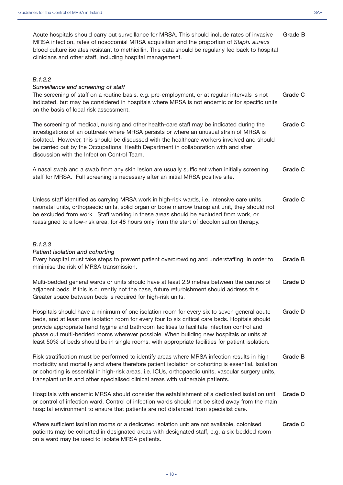| Acute hospitals should carry out surveillance for MRSA. This should include rates of invasive       | Grade B |
|-----------------------------------------------------------------------------------------------------|---------|
| MRSA infection, rates of nosocomial MRSA acquisition and the proportion of Staph. aureus            |         |
| blood culture isolates resistant to methicillin. This data should be regularly fed back to hospital |         |
| clinicians and other staff, including hospital management.                                          |         |
|                                                                                                     |         |
|                                                                                                     |         |
| B.1.2.2                                                                                             |         |

#### *Surveillance and screening of staff*

| <b>Grade C</b><br>The screening of staff on a routine basis, e.g. pre-employment, or at regular intervals is not |  |
|------------------------------------------------------------------------------------------------------------------|--|
| indicated, but may be considered in hospitals where MRSA is not endemic or for specific units                    |  |
| on the basis of local risk assessment.                                                                           |  |

The screening of medical, nursing and other health-care staff may be indicated during the investigations of an outbreak where MRSA persists or where an unusual strain of MRSA is isolated. However, this should be discussed with the healthcare workers involved and should be carried out by the Occupational Health Department in collaboration with and after discussion with the Infection Control Team. **Grade C**

A nasal swab and a swab from any skin lesion are usually sufficient when initially screening staff for MRSA. Full screening is necessary after an initial MRSA positive site. **Grade C**

Unless staff identified as carrying MRSA work in high-risk wards, i.e. intensive care units, neonatal units, orthopaedic units, solid organ or bone marrow transplant unit, they should not be excluded from work. Staff working in these areas should be excluded from work, or reassigned to a low-risk area, for 48 hours only from the start of decolonisation therapy. **Grade C**

#### *B.1.2.3*

#### *Patient isolation and cohorting*

Every hospital must take steps to prevent patient overcrowding and understaffing, in order to minimise the risk of MRSA transmission. **Grade B**

| Multi-bedded general wards or units should have at least 2.9 metres between the centres of  | Grade D |
|---------------------------------------------------------------------------------------------|---------|
| adjacent beds. If this is currently not the case, future refurbishment should address this. |         |
| Greater space between beds is required for high-risk units.                                 |         |

Hospitals should have a minimum of one isolation room for every six to seven general acute beds, and at least one isolation room for every four to six critical care beds. Hopitals should provide appropriate hand hygine and bathroom facilities to facilitate infection control and phase out multi-bedded rooms wherever possible. When building new hospitals or units at least 50% of beds should be in single rooms, with appropriate facilities for patient isolation. **Grade D**

Risk stratification must be performed to identify areas where MRSA infection results in high morbidity and mortality and where therefore patient isolation or cohorting is essential. Isolation or cohorting is essential in high-risk areas, i.e. ICUs, orthopaedic units, vascular surgery units, transplant units and other specialised clinical areas with vulnerable patients. **Grade B**

Hospitals with endemic MRSA should consider the establishment of a dedicated isolation unit or control of infection ward. Control of infection wards should not be sited away from the main hospital environment to ensure that patients are not distanced from specialist care. **Grade D**

Where sufficient isolation rooms or a dedicated isolation unit are not available, colonised patients may be cohorted in designated areas with designated staff, e.g. a six-bedded room on a ward may be used to isolate MRSA patients. **Grade C**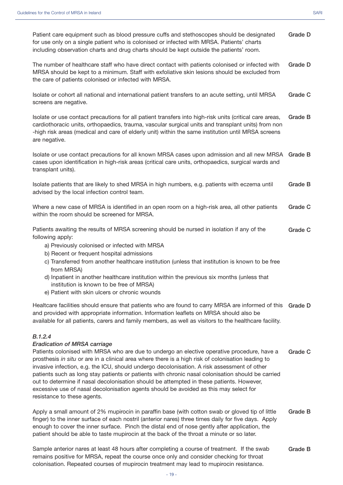| Patient care equipment such as blood pressure cuffs and stethoscopes should be designated<br>for use only on a single patient who is colonised or infected with MRSA. Patients' charts<br>including observation charts and drug charts should be kept outside the patients' room.                                                                                                                                                                                                                                                                                                                                                                                           | Grade D |
|-----------------------------------------------------------------------------------------------------------------------------------------------------------------------------------------------------------------------------------------------------------------------------------------------------------------------------------------------------------------------------------------------------------------------------------------------------------------------------------------------------------------------------------------------------------------------------------------------------------------------------------------------------------------------------|---------|
| The number of healthcare staff who have direct contact with patients colonised or infected with<br>MRSA should be kept to a minimum. Staff with exfoliative skin lesions should be excluded from<br>the care of patients colonised or infected with MRSA.                                                                                                                                                                                                                                                                                                                                                                                                                   | Grade D |
| Isolate or cohort all national and international patient transfers to an acute setting, until MRSA<br>screens are negative.                                                                                                                                                                                                                                                                                                                                                                                                                                                                                                                                                 | Grade C |
| Isolate or use contact precautions for all patient transfers into high-risk units (critical care areas,<br>cardiothoracic units, orthopaedics, trauma, vascular surgical units and transplant units) from non<br>-high risk areas (medical and care of elderly unit) within the same institution until MRSA screens<br>are negative.                                                                                                                                                                                                                                                                                                                                        | Grade B |
| Isolate or use contact precautions for all known MRSA cases upon admission and all new MRSA Grade B<br>cases upon identification in high-risk areas (critical care units, orthopaedics, surgical wards and<br>transplant units).                                                                                                                                                                                                                                                                                                                                                                                                                                            |         |
| Isolate patients that are likely to shed MRSA in high numbers, e.g. patients with eczema until<br>advised by the local infection control team.                                                                                                                                                                                                                                                                                                                                                                                                                                                                                                                              | Grade B |
| Where a new case of MRSA is identified in an open room on a high-risk area, all other patients<br>within the room should be screened for MRSA.                                                                                                                                                                                                                                                                                                                                                                                                                                                                                                                              | Grade C |
| Patients awaiting the results of MRSA screening should be nursed in isolation if any of the<br>following apply:<br>a) Previously colonised or infected with MRSA<br>b) Recent or frequent hospital admissions<br>c) Transferred from another healthcare institution (unless that institution is known to be free<br>from MRSA)<br>d) Inpatient in another healthcare institution within the previous six months (unless that<br>institution is known to be free of MRSA)<br>e) Patient with skin ulcers or chronic wounds                                                                                                                                                   | Grade C |
| Healtcare facilities should ensure that patients who are found to carry MRSA are informed of this<br>and provided with appropriate information. Information leaflets on MRSA should also be<br>available for all patients, carers and family members, as well as visitors to the healthcare facility.                                                                                                                                                                                                                                                                                                                                                                       | Grade D |
| B.1.2.4<br><b>Eradication of MRSA carriage</b><br>Patients colonised with MRSA who are due to undergo an elective operative procedure, have a<br>prosthesis in situ or are in a clinical area where there is a high risk of colonisation leading to<br>invasive infection, e.g. the ICU, should undergo decolonisation. A risk assessment of other<br>patients such as long stay patients or patients with chronic nasal colonisation should be carried<br>out to determine if nasal decolonisation should be attempted in these patients. However,<br>excessive use of nasal decolonisation agents should be avoided as this may select for<br>resistance to these agents. | Grade C |
| Apply a small amount of 2% mupirocin in paraffin base (with cotton swab or gloved tip of little<br>finger) to the inner surface of each nostril (anterior nares) three times daily for five days. Apply<br>enough to cover the inner surface. Pinch the distal end of nose gently after application, the<br>patient should be able to taste mupirocin at the back of the throat a minute or so later.                                                                                                                                                                                                                                                                       | Grade B |

Sample anterior nares at least 48 hours after completing a course of treatment. If the swab remains positive for MRSA, repeat the course once only and consider checking for throat colonisation. Repeated courses of mupirocin treatment may lead to mupirocin resistance. **Grade B**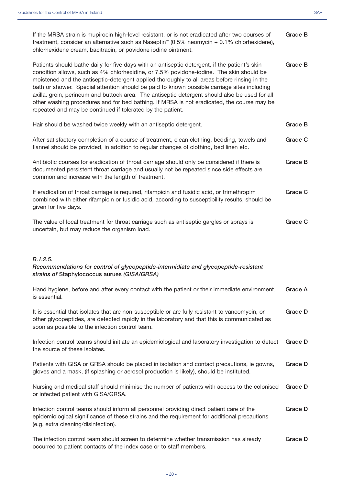| If the MRSA strain is mupirocin high-level resistant, or is not eradicated after two courses of<br>treatment, consider an alternative such as Naseptin™ (0.5% neomycin + 0.1% chlorhexidene),<br>chlorhexidene cream, bacitracin, or povidone iodine ointment.                                                                                                                                                                                                                                                                                                                                                                                        | Grade B |
|-------------------------------------------------------------------------------------------------------------------------------------------------------------------------------------------------------------------------------------------------------------------------------------------------------------------------------------------------------------------------------------------------------------------------------------------------------------------------------------------------------------------------------------------------------------------------------------------------------------------------------------------------------|---------|
| Patients should bathe daily for five days with an antiseptic detergent, if the patient's skin<br>condition allows, such as 4% chlorhexidine, or 7.5% povidone-iodine. The skin should be<br>moistened and the antiseptic-detergent applied thoroughly to all areas before rinsing in the<br>bath or shower. Special attention should be paid to known possible carriage sites including<br>axilla, groin, perineum and buttock area. The antiseptic detergent should also be used for all<br>other washing procedures and for bed bathing. If MRSA is not eradicated, the course may be<br>repeated and may be continued if tolerated by the patient. | Grade B |
| Hair should be washed twice weekly with an antiseptic detergent.                                                                                                                                                                                                                                                                                                                                                                                                                                                                                                                                                                                      | Grade B |
| After satisfactory completion of a course of treatment, clean clothing, bedding, towels and<br>flannel should be provided, in addition to regular changes of clothing, bed linen etc.                                                                                                                                                                                                                                                                                                                                                                                                                                                                 | Grade C |
| Antibiotic courses for eradication of throat carriage should only be considered if there is<br>documented persistent throat carriage and usually not be repeated since side effects are<br>common and increase with the length of treatment.                                                                                                                                                                                                                                                                                                                                                                                                          | Grade B |
| If eradication of throat carriage is required, rifampicin and fusidic acid, or trimethropim<br>combined with either rifampicin or fusidic acid, according to susceptibility results, should be<br>given for five days.                                                                                                                                                                                                                                                                                                                                                                                                                                | Grade C |
| The value of local treatment for throat carriage such as antiseptic gargles or sprays is<br>uncertain, but may reduce the organism load.                                                                                                                                                                                                                                                                                                                                                                                                                                                                                                              | Grade C |
|                                                                                                                                                                                                                                                                                                                                                                                                                                                                                                                                                                                                                                                       |         |
| B.1.2.5.<br>Recommendations for control of glycopeptide-intermidiate and glycopeptide-resistant<br>strains of Staphylococcus aurues (GISA/GRSA)                                                                                                                                                                                                                                                                                                                                                                                                                                                                                                       |         |
| Hand hygiene, before and after every contact with the patient or their immediate environment,<br>is essential.                                                                                                                                                                                                                                                                                                                                                                                                                                                                                                                                        | Grade A |
| It is essential that isolates that are non-susceptible or are fully resistant to vancomycin, or<br>other glycopeptides, are detected rapidly in the laboratory and that this is communicated as<br>soon as possible to the infection control team.                                                                                                                                                                                                                                                                                                                                                                                                    | Grade D |
| Infection control teams should initiate an epidemiological and laboratory investigation to detect<br>the source of these isolates.                                                                                                                                                                                                                                                                                                                                                                                                                                                                                                                    | Grade D |
| Patients with GISA or GRSA should be placed in isolation and contact precautions, ie gowns,<br>gloves and a mask, (if splashing or aerosol production is likely), should be instituted.                                                                                                                                                                                                                                                                                                                                                                                                                                                               | Grade D |
| Nursing and medical staff should minimise the number of patients with access to the colonised<br>or infected patient with GISA/GRSA.                                                                                                                                                                                                                                                                                                                                                                                                                                                                                                                  | Grade D |
| Infection control teams should inform all personnel providing direct patient care of the<br>epidemiological significance of these strains and the requirement for additional precautions<br>(e.g. extra cleaning/disinfection).                                                                                                                                                                                                                                                                                                                                                                                                                       | Grade D |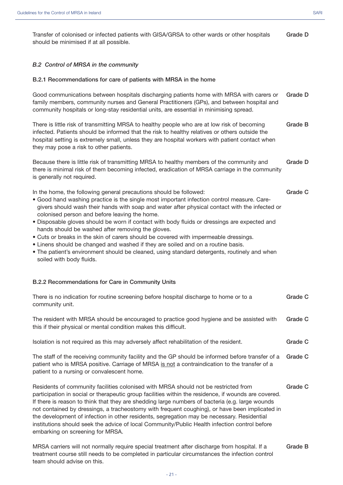Transfer of colonised or infected patients with GISA/GRSA to other wards or other hospitals should be minimised if at all possible. **Grade D**

#### *B.2 Control of MRSA in the community*

#### **B.2.1 Recommendations for care of patients with MRSA in the home**

| Good communications between hospitals discharging patients home with MRSA with carers or<br>family members, community nurses and General Practitioners (GPs), and between hospital and<br>community hospitals or long-stay residential units, are essential in minimising spread.                                                                                                                                                                                                                                                                                                                                                                                                                                                                                                | Grade D        |
|----------------------------------------------------------------------------------------------------------------------------------------------------------------------------------------------------------------------------------------------------------------------------------------------------------------------------------------------------------------------------------------------------------------------------------------------------------------------------------------------------------------------------------------------------------------------------------------------------------------------------------------------------------------------------------------------------------------------------------------------------------------------------------|----------------|
| There is little risk of transmitting MRSA to healthy people who are at low risk of becoming<br>infected. Patients should be informed that the risk to healthy relatives or others outside the<br>hospital setting is extremely small, unless they are hospital workers with patient contact when<br>they may pose a risk to other patients.                                                                                                                                                                                                                                                                                                                                                                                                                                      | Grade B        |
| Because there is little risk of transmitting MRSA to healthy members of the community and<br>there is minimal risk of them becoming infected, eradication of MRSA carriage in the community<br>is generally not required.                                                                                                                                                                                                                                                                                                                                                                                                                                                                                                                                                        | Grade D        |
| In the home, the following general precautions should be followed:<br>. Good hand washing practice is the single most important infection control measure. Care-<br>givers should wash their hands with soap and water after physical contact with the infected or<br>colonised person and before leaving the home.<br>. Disposable gloves should be worn if contact with body fluids or dressings are expected and<br>hands should be washed after removing the gloves.<br>• Cuts or breaks in the skin of carers should be covered with impermeable dressings.<br>• Linens should be changed and washed if they are soiled and on a routine basis.<br>• The patient's environment should be cleaned, using standard detergents, routinely and when<br>soiled with body fluids. | Grade C        |
| B.2.2 Recommendations for Care in Community Units                                                                                                                                                                                                                                                                                                                                                                                                                                                                                                                                                                                                                                                                                                                                |                |
| There is no indication for routine screening before hospital discharge to home or to a<br>community unit.                                                                                                                                                                                                                                                                                                                                                                                                                                                                                                                                                                                                                                                                        | Grade C        |
| The resident with MRSA should be encouraged to practice good hygiene and be assisted with<br>this if their physical or mental condition makes this difficult.                                                                                                                                                                                                                                                                                                                                                                                                                                                                                                                                                                                                                    | <b>Grade C</b> |

Isolation is not required as this may adversely affect rehabilitation of the resident. **Grade C**

The staff of the receiving community facility and the GP should be informed before transfer of a patient who is MRSA positive. Carriage of MRSA is not a contraindication to the transfer of a patient to a nursing or convalescent home. **Grade C**

Residents of community facilities colonised with MRSA should not be restricted from participation in social or therapeutic group facilities within the residence, if wounds are covered. If there is reason to think that they are shedding large numbers of bacteria (e.g. large wounds not contained by dressings, a tracheostomy with frequent coughing), or have been implicated in the development of infection in other residents, segregation may be necessary. Residential institutions should seek the advice of local Community/Public Health infection control before embarking on screening for MRSA. **Grade C**

MRSA carriers will not normally require special treatment after discharge from hospital. If a treatment course still needs to be completed in particular circumstances the infection control team should advise on this. **Grade B**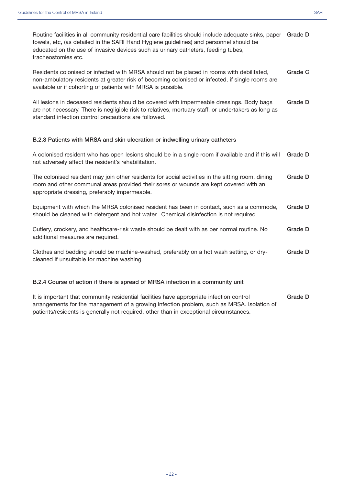| Routine facilities in all community residential care facilities should include adequate sinks, paper Grade D |  |
|--------------------------------------------------------------------------------------------------------------|--|
| towels, etc, (as detailed in the SARI Hand Hygiene guidelines) and personnel should be                       |  |
| educated on the use of invasive devices such as urinary catheters, feeding tubes,                            |  |
| tracheostomies etc.                                                                                          |  |

Residents colonised or infected with MRSA should not be placed in rooms with debilitated, non-ambulatory residents at greater risk of becoming colonised or infected, if single rooms are available or if cohorting of patients with MRSA is possible. **Grade C**

All lesions in deceased residents should be covered with impermeable dressings. Body bags are not necessary. There is negligible risk to relatives, mortuary staff, or undertakers as long as standard infection control precautions are followed. **Grade D**

#### **B.2.3 Patients with MRSA and skin ulceration or indwelling urinary catheters**

A colonised resident who has open lesions should be in a single room if available and if this will not adversely affect the resident's rehabilitation. **Grade D**

The colonised resident may join other residents for social activities in the sitting room, dining room and other communal areas provided their sores or wounds are kept covered with an appropriate dressing, preferably impermeable. **Grade D**

| Equipment with which the MRSA colonised resident has been in contact, such as a commode, Grade D |  |
|--------------------------------------------------------------------------------------------------|--|
| should be cleaned with detergent and hot water. Chemical disinfection is not required.           |  |

| Cutlery, crockery, and healthcare-risk waste should be dealt with as per normal routine. No | Grade D |
|---------------------------------------------------------------------------------------------|---------|
| additional measures are required.                                                           |         |

Clothes and bedding should be machine-washed, preferably on a hot wash setting, or drycleaned if unsuitable for machine washing. **Grade D**

#### **B.2.4 Course of action if there is spread of MRSA infection in a community unit**

It is important that community residential facilities have appropriate infection control arrangements for the management of a growing infection problem, such as MRSA. Isolation of patients/residents is generally not required, other than in exceptional circumstances. **Grade D**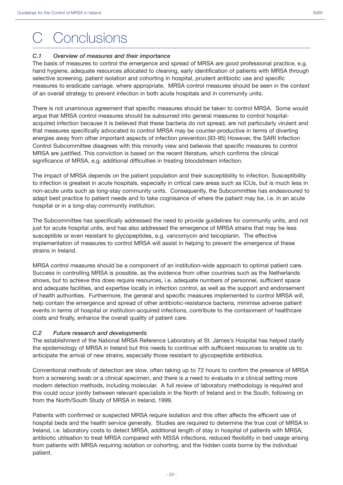# **Conclusions**

#### *C.1 Overview of measures and their importance*

The basis of measures to control the emergence and spread of MRSA are good professional practice, e.g. hand hygiene, adequate resources allocated to cleaning, early identification of patients with MRSA through selective screening, patient isolation and cohorting in hospital, prudent antibiotic use and specific measures to eradicate carriage, where appropriate. MRSA control measures should be seen in the context of an overall strategy to prevent infection in both acute hospitals and in community units.

There is not unaminous agreement that specific measures should be taken to control MRSA. Some would argue that MRSA control measures should be subsumed into general measures to control hospitalacquired infection because it is believed that these bacteria do not spread, are not particularly virulent and that measures specifically advocated to control MRSA may be counter-productive in terms of diverting energies away from other important aspects of infection prevention.(93-95) However, the SARI Infection Control Subcommittee disagrees with this minority view and believes that specific measures to control MRSA are justified. This conviction is based on the recent literature, which confirms the clinical significance of MRSA, e.g. additional difficulties in treating bloodstream infection.

The impact of MRSA depends on the patient population and their susceptibility to infection. Susceptibility to infection is greatest in acute hospitals, especially in critical care areas such as ICUs, but is much less in non-acute units such as long-stay community units. Consequently, the Subcommittee has endeavoured to adapt best practice to patient needs and to take cognisance of where the patient may be, i.e. in an acute hospital or in a long-stay community institution.

The Subcommittee has specifically addressed the need to provide guidelines for community units, and not just for acute hospital units, and has also addressed the emergence of MRSA strains that may be less susceptible or even resistant to glycopeptides, e.g. vancomycin and teicoplanin. The effective implementation of measures to control MRSA will assist in helping to prevent the emergence of these strains in Ireland.

MRSA control measures should be a component of an institution-wide approach to optimal patient care. Success in controlling MRSA is possible, as the evidence from other countries such as the Netherlands shows, but to achieve this does require resources, i.e. adequate numbers of personnel, sufficient space and adequate facilities, and expertise locally in infection control, as well as the support and endorsement of health authorities. Furthermore, the general and specific measures implemented to control MRSA will, help contain the emergence and spread of other antibiotic-resistance bacteria, minimise adverse patient events in terms of hospital or institution-acquired infections, contribute to the containment of healthcare costs and finally, enhance the overall quality of patient care.

#### *C.2 Future research and developments*

The establishment of the National MRSA Reference Laboratory at St. James's Hospital has helped clarify the epidemiology of MRSA in Ireland but this needs to continue with sufficient resources to enable us to anticipate the arrival of new strains, especially those resistant to glycopeptide antibiotics.

Conventional methods of detection are slow, often taking up to 72 hours to confirm the presence of MRSA from a screening swab or a clinical specimen, and there is a need to evaluate in a clinical setting more modern detection methods, including molecular. A full review of laboratory methodology is required and this could occur jointly between relevant specialists in the North of Ireland and in the South, following on from the North/South Study of MRSA in Ireland, 1999.

Patients with confirmed or suspected MRSA require isolation and this often affects the efficient use of hospital beds and the health service generally. Studies are required to determine the true cost of MRSA in Ireland, i.e. laboratory costs to detect MRSA, additional length of stay in hospital of patients with MRSA, antibiotic utilisation to treat MRSA compared with MSSA infections, reduced flexibility in bed usage arising from patients with MRSA requiring isolation or cohorting, and the hidden costs borne by the individual patient.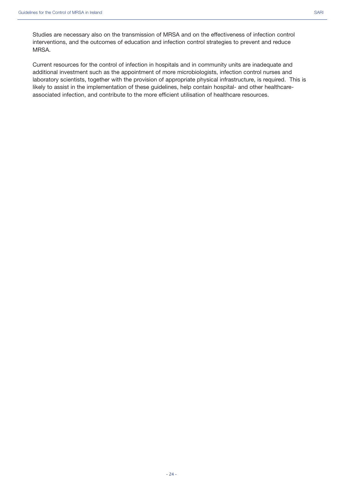Studies are necessary also on the transmission of MRSA and on the effectiveness of infection control interventions, and the outcomes of education and infection control strategies to prevent and reduce MRSA.

Current resources for the control of infection in hospitals and in community units are inadequate and additional investment such as the appointment of more microbiologists, infection control nurses and laboratory scientists, together with the provision of appropriate physical infrastructure, is required. This is likely to assist in the implementation of these guidelines, help contain hospital- and other healthcareassociated infection, and contribute to the more efficient utilisation of healthcare resources.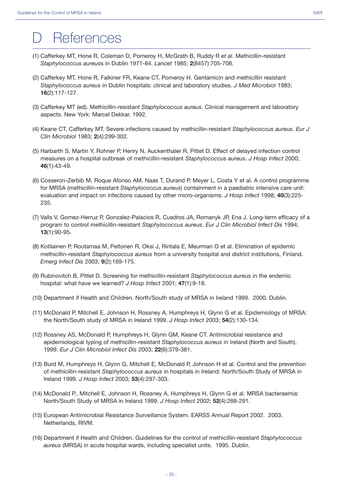- (1) Cafferkey MT, Hone R, Coleman D, Pomeroy H, McGrath B, Ruddy R *et al*. Methicillin-resistant *Staphylococcus aureus*s in Dublin 1971-84. *Lancet* 1985; **2**(8457):705-708.
- (2) Cafferkey MT, Hone R, Falkiner FR, Keane CT, Pomeroy H. Gentamicin and methicillin resistant *Staphylococcus aureus* in Dublin hospitals: clinical and laboratory studies. *J Med Microbiol* 1983; **16**(2):117-127.
- (3) Cafferkey MT (ed). Methicillin-resistant *Staphylococcus aureus.* Clinical management and laboratory aspects. New York: Marcel Dekkar, 1992.
- (4) Keane CT, Cafferkey MT. Severe infections caused by methicillin-resistant *Staphylococcus aureus*. *Eur J Clin Microbiol* 1983; **2**(4):299-302.
- (5) Harbarth S, Martin Y, Rohner P, Henry N, Auckenthaler R, Pittet D. Effect of delayed infection control measures on a hospital outbreak of methicillin-resistant *Staphylococcus aureus*. *J Hosp Infect* 2000; **46**(1):43-49.
- (6) Cosseron-Zerbib M, Roque Afonso AM, Naas T, Durand P, Meyer L, Costa Y et al. A control programme for MRSA (methicillin-resistant *Staphylococcus aureus*) containment in a paediatric intensive care unit: evaluation and impact on infections caused by other micro-organisms. *J Hosp Infect* 1998; **40**(3):225- 235.
- (7) Valls V, Gomez-Herruz P, Gonzalez-Palacios R, Cuadros JA, Romanyk JP, Ena J. Long-term efficacy of a program to control methicillin-resistant *Staphylococcus aureus*. *Eur J Clin Microbiol Infect Dis* 1994; **13**(1):90-95.
- (8) Kotilainen P, Routamaa M, Peltonen R, Oksi J, Rintala E, Meurman O et al. Elimination of epidemic methicillin-resistant *Staphylococcus aureus* from a university hospital and district institutions, Finland. *Emerg Infect Dis* 2003; **9**(2):169-175.
- (9) Rubinovitch B, Pittet D. Screening for methicillin-resistant *Staphylococcus aureus* in the endemic hospital: what have we learned? *J Hosp Infect* 2001; **47**(1):9-18.
- (10) Department if Health and Children. North/South study of MRSA in Ireland 1999. 2000. Dublin.
- (11) McDonald P, Mitchell E, Johnson H, Rossney A, Humphreys H, Glynn G et al. Epidemiology of MRSA: the North/South study of MRSA in Ireland 1999. *J Hosp Infect* 2003; **54**(2):130-134.
- (12) Rossney AS, McDonald P, Humphreys H, Glynn GM, Keane CT. Antimicrobial resistance and epidemiological typing of methicillin-resistant *Staphylococcus aureus* in Ireland (North and South), 1999. *Eur J Clin Microbiol Infect Dis* 2003; **22**(6):379-381.
- (13) Burd M, Humphreys H, Glynn G, Mitchell E, McDonald P, Johnson H et al. Control and the prevention of methicillin-resistant *Staphylococcus aureus* in hospitals in Ireland: North/South Study of MRSA in Ireland 1999. *J Hosp Infect* 2003; **53**(4):297-303.
- (14) McDonald P., Mitchell E, Johnson H, Rossney A, Humphreys H, Glynn G et al. MRSA bacteraemia: North/South Study of MRSA in Ireland 1999. *J Hosp Infect* 2002; **52**(4):288-291.
- (15) European Antimicrobial Resistance Surveillance System. EARSS Annual Report 2002. 2003. Netherlands, RIVM.
- (16) Department if Health and Children. Guidelines for the control of methicillin-resistant *Staphylococcus aureus* (MRSA) in acute hospital wards, including specialist units. 1995. Dublin.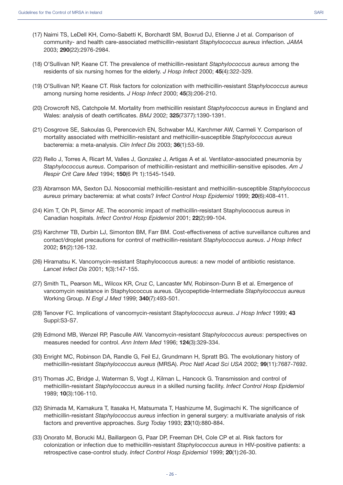- (17) Naimi TS, LeDell KH, Como-Sabetti K, Borchardt SM, Boxrud DJ, Etienne J et al. Comparison of community- and health care-associated methicillin-resistant *Staphylococcus aureus* infection. *JAMA* 2003; **290**(22):2976-2984.
- (18) O'Sullivan NP, Keane CT. The prevalence of methicillin-resistant *Staphylococcus aureus* among the residents of six nursing homes for the elderly. *J Hosp Infect* 2000; **45**(4):322-329.
- (19) O'Sullivan NP, Keane CT. Risk factors for colonization with methicillin-resistant *Staphylococcus aureus* among nursing home residents. *J Hosp Infect* 2000; **45**(3):206-210.
- (20) Crowcroft NS, Catchpole M. Mortality from methicillin resistant *Staphylococcus aureus* in England and Wales: analysis of death certificates. *BMJ* 2002; **325**(7377):1390-1391.
- (21) Cosgrove SE, Sakoulas G, Perencevich EN, Schwaber MJ, Karchmer AW, Carmeli Y. Comparison of mortality associated with methicillin-resistant and methicillin-susceptible *Staphylococcus aureus* bacteremia: a meta-analysis. *Clin Infect Dis* 2003; **36**(1):53-59.
- (22) Rello J, Torres A, Ricart M, Valles J, Gonzalez J, Artigas A et al. Ventilator-associated pneumonia by *Staphylococcus aureus*. Comparison of methicillin-resistant and methicillin-sensitive episodes. *Am J Respir Crit Care Med* 1994; **150**(6 Pt 1):1545-1549.
- (23) Abramson MA, Sexton DJ. Nosocomial methicillin-resistant and methicillin-susceptible *Staphylococcus aureus* primary bacteremia: at what costs? *Infect Control Hosp Epidemiol* 1999; **20**(6):408-411.
- (24) Kim T, Oh PI, Simor AE. The economic impact of methicillin-resistant Staphylococcus aureus in Canadian hospitals. *Infect Control Hosp Epidemiol* 2001; **22**(2):99-104.
- (25) Karchmer TB, Durbin LJ, Simonton BM, Farr BM. Cost-effectiveness of active surveillance cultures and contact/droplet precautions for control of methicillin-resistant *Staphylococcus aureus*. *J Hosp Infect* 2002; **51**(2):126-132.
- (26) Hiramatsu K. Vancomycin-resistant Staphylococcus aureus: a new model of antibiotic resistance. *Lancet Infect Dis* 2001; **1**(3):147-155.
- (27) Smith TL, Pearson ML, Wilcox KR, Cruz C, Lancaster MV, Robinson-Dunn B et al. Emergence of vancomycin resistance in Staphylococcus aureus. Glycopeptide-Intermediate *Staphylococcus aureus* Working Group. *N Engl J Med* 1999; **340**(7):493-501.
- (28) Tenover FC. Implications of vancomycin-resistant *Staphylococcus aureus*. *J Hosp Infect* 1999; **43** Suppl:S3-S7.
- (29) Edmond MB, Wenzel RP, Pasculle AW. Vancomycin-resistant *Staphylococcus aureus*: perspectives on measures needed for control. *Ann Intern Med* 1996; **124**(3):329-334.
- (30) Enright MC, Robinson DA, Randle G, Feil EJ, Grundmann H, Spratt BG. The evolutionary history of methicillin-resistant *Staphylococcus aureus* (MRSA). *Proc Natl Acad Sci USA* 2002; **99**(11):7687-7692.
- (31) Thomas JC, Bridge J, Waterman S, Vogt J, Kilman L, Hancock G. Transmission and control of methicillin-resistant *Staphylococcus aureus* in a skilled nursing facility. *Infect Control Hosp Epidemiol* 1989; **10**(3):106-110.
- (32) Shimada M, Kamakura T, Itasaka H, Matsumata T, Hashizume M, Sugimachi K. The significance of methicillin-resistant *Staphylococcus aureus* infection in general surgery: a multivariate analysis of risk factors and preventive approaches. *Surg Today* 1993; **23**(10):880-884.
- (33) Onorato M, Borucki MJ, Baillargeon G, Paar DP, Freeman DH, Cole CP et al. Risk factors for colonization or infection due to methicillin-resistant *Staphylococcus aureus* in HIV-positive patients: a retrospective case-control study. *Infect Control Hosp Epidemiol* 1999; **20**(1):26-30.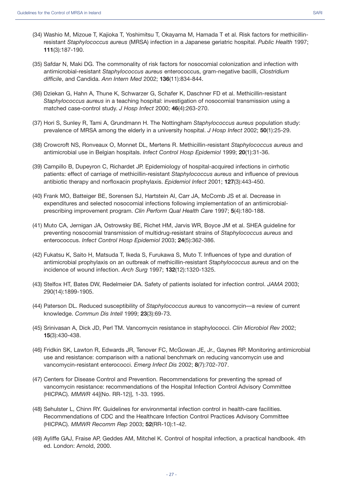- (34) Washio M, Mizoue T, Kajioka T, Yoshimitsu T, Okayama M, Hamada T et al. Risk factors for methicillinresistant *Staphylococcus aureus* (MRSA) infection in a Japanese geriatric hospital. *Public Health* 1997; **111**(3):187-190.
- (35) Safdar N, Maki DG. The commonality of risk factors for nosocomial colonization and infection with antimicrobial-resistant *Staphylococcus aureus* enterococcus, gram-negative bacilli, *Clostridium difficile*, and Candida. *Ann Intern Med* 2002; **136**(11):834-844.
- (36) Dziekan G, Hahn A, Thune K, Schwarzer G, Schafer K, Daschner FD et al. Methicillin-resistant *Staphylococcus aureus* in a teaching hospital: investigation of nosocomial transmission using a matched case-control study. *J Hosp Infect* 2000; **46**(4):263-270.
- (37) Hori S, Sunley R, Tami A, Grundmann H. The Nottingham *Staphylococcus aureus* population study: prevalence of MRSA among the elderly in a university hospital. *J Hosp Infect* 2002; **50**(1):25-29.
- (38) Crowcroft NS, Ronveaux O, Monnet DL, Mertens R. Methicillin-resistant *Staphylococcus aureus* and antimicrobial use in Belgian hospitals. *Infect Control Hosp Epidemiol* 1999; **20**(1):31-36.
- (39) Campillo B, Dupeyron C, Richardet JP. Epidemiology of hospital-acquired infections in cirrhotic patients: effect of carriage of methicillin-resistant *Staphylococcus aureus* and influence of previous antibiotic therapy and norfloxacin prophylaxis. *Epidemiol Infect* 2001; **127**(3):443-450.
- (40) Frank MO, Batteiger BE, Sorensen SJ, Hartstein AI, Carr JA, McComb JS et al. Decrease in expenditures and selected nosocomial infections following implementation of an antimicrobialprescribing improvement program. *Clin Perform Qual Health Care* 1997; **5**(4):180-188.
- (41) Muto CA, Jernigan JA, Ostrowsky BE, Richet HM, Jarvis WR, Boyce JM et al. SHEA guideline for preventing nosocomial transmission of multidrug-resistant strains of *Staphylococcus aureus* and enterococcus. *Infect Control Hosp Epidemiol* 2003; **24**(5):362-386.
- (42) Fukatsu K, Saito H, Matsuda T, Ikeda S, Furukawa S, Muto T. Influences of type and duration of antimicrobial prophylaxis on an outbreak of methicillin-resistant *Staphylococcus aureus* and on the incidence of wound infection. *Arch Surg* 1997; **132**(12):1320-1325.
- (43) Stelfox HT, Bates DW, Redelmeier DA. Safety of patients isolated for infection control. *JAMA* 2003; 290(14):1899-1905.
- (44) Paterson DL. Reduced susceptibility of *Staphylococcus aureus* to vancomycin—a review of current knowledge. *Commun Dis Intell* 1999; **23**(3):69-73.
- (45) Srinivasan A, Dick JD, Perl TM. Vancomycin resistance in staphylococci. *Clin Microbiol Rev* 2002; **15**(3):430-438.
- (46) Fridkin SK, Lawton R, Edwards JR, Tenover FC, McGowan JE, Jr., Gaynes RP. Monitoring antimicrobial use and resistance: comparison with a national benchmark on reducing vancomycin use and vancomycin-resistant enterococci. *Emerg Infect Dis* 2002; **8**(7):702-707.
- (47) Centers for Disease Control and Prevention. Recommendations for preventing the spread of vancomycin resistance: recommendations of the Hospital Infection Control Advisory Committee (HICPAC). *MMWR* 44[(No. RR-12)], 1-33. 1995.
- (48) Sehulster L, Chinn RY. Guidelines for environmental infection control in health-care facilities. Recommendations of CDC and the Healthcare Infection Control Practices Advisory Committee (HICPAC). *MMWR Recomm Rep* 2003; **52**(RR-10):1-42.
- (49) Ayliffe GAJ, Fraise AP, Geddes AM, Mitchel K. Control of hospital infection, a practical handbook. 4th ed. London: Arnold, 2000.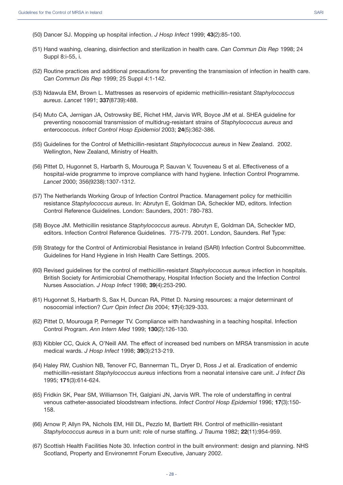- (50) Dancer SJ. Mopping up hospital infection. *J Hosp Infect* 1999; **43**(2):85-100.
- (51) Hand washing, cleaning, disinfection and sterilization in health care. *Can Commun Dis Rep* 1998; 24 Suppl 8:i-55, i.
- (52) Routine practices and additional precautions for preventing the transmission of infection in health care. *Can Commun Dis Rep* 1999; 25 Suppl 4:1-142.
- (53) Ndawula EM, Brown L. Mattresses as reservoirs of epidemic methicillin-resistant *Staphylococcus aureus*. *Lancet* 1991; **337**(8739):488.
- (54) Muto CA, Jernigan JA, Ostrowsky BE, Richet HM, Jarvis WR, Boyce JM et al. SHEA guideline for preventing nosocomial transmission of multidrug-resistant strains of *Staphylococcus aureus* and enterococcus. *Infect Control Hosp Epidemiol* 2003; **24**(5):362-386.
- (55) Guidelines for the Control of Methicillin-resistant *Staphylococcus aureus* in New Zealand. 2002. Wellington, New Zealand, Ministry of Health.
- (56) Pittet D, Hugonnet S, Harbarth S, Mourouga P, Sauvan V, Touveneau S et al. Effectiveness of a hospital-wide programme to improve compliance with hand hygiene. Infection Control Programme. *Lancet* 2000; 356(9238):1307-1312.
- (57) The Netherlands Working Group of Infection Control Practice. Management policy for methicillin resistance *Staphylococcus aureus*. In: Abrutyn E, Goldman DA, Scheckler MD, editors. Infection Control Reference Guidelines. London: Saunders, 2001: 780-783.
- (58) Boyce JM. Methicillin resistance *Staphylococcus aureus*. Abrutyn E, Goldman DA, Scheckler MD, editors. Infection Control Reference Guidelines. 775-779. 2001. London, Saunders. Ref Type:
- (59) Strategy for the Control of Antimicrobial Resistance in Ireland (SARI) Infection Control Subcommittee. Guidelines for Hand Hygiene in Irish Health Care Settings. 2005.
- (60) Revised guidelines for the control of methicillin-resistant *Staphylococcus aureus* infection in hospitals. British Society for Antimicrobial Chemotherapy, Hospital Infection Society and the Infection Control Nurses Association. *J Hosp Infect* 1998; **39**(4):253-290.
- (61) Hugonnet S, Harbarth S, Sax H, Duncan RA, Pittet D. Nursing resources: a major determinant of nosocomial infection? *Curr Opin Infect Dis* 2004; **17**(4):329-333.
- (62) Pittet D, Mourouga P, Perneger TV. Compliance with handwashing in a teaching hospital. Infection Control Program. *Ann Intern Med* 1999; **130**(2):126-130.
- (63) Kibbler CC, Quick A, O'Neill AM. The effect of increased bed numbers on MRSA transmission in acute medical wards. *J Hosp Infect* 1998; **39**(3):213-219.
- (64) Haley RW, Cushion NB, Tenover FC, Bannerman TL, Dryer D, Ross J et al. Eradication of endemic methicillin-resistant *Staphylococcus aureus* infections from a neonatal intensive care unit. *J Infect Dis* 1995; **171**(3):614-624.
- (65) Fridkin SK, Pear SM, Williamson TH, Galgiani JN, Jarvis WR. The role of understaffing in central venous catheter-associated bloodstream infections. *Infect Control Hosp Epidemiol* 1996; **17**(3):150- 158.
- (66) Arnow P, Allyn PA, Nichols EM, Hill DL, Pezzlo M, Bartlett RH. Control of methicillin-resistant *Staphylococcus aureus* in a burn unit: role of nurse staffing. *J Trauma* 1982; **22**(11):954-959.
- (67) Scottish Health Facilities Note 30. Infection control in the built environment: design and planning. NHS Scotland, Property and Environemnt Forum Executive, January 2002.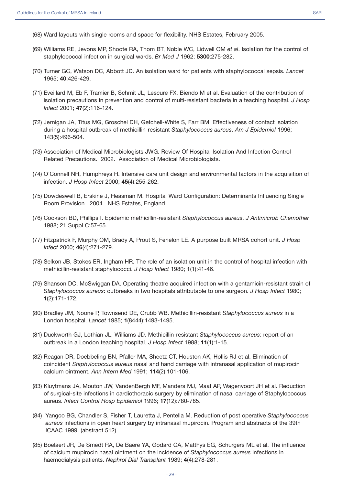- (68) Ward layouts with single rooms and space for flexibility. NHS Estates, February 2005.
- (69) Williams RE, Jevons MP, Shoote RA, Thom BT, Noble WC, Lidwell OM *et al*. Isolation for the control of staphylococcal infection in surgical wards. *Br Med J* 1962; **5300**:275-282.
- (70) Turner GC, Watson DC, Abbott JD. An isolation ward for patients with staphylococcal sepsis. *Lancet* 1965; **40**:426-429.
- (71) Eveillard M, Eb F, Tramier B, Schmit JL, Lescure FX, Biendo M et al. Evaluation of the contribution of isolation precautions in prevention and control of multi-resistant bacteria in a teaching hospital. *J Hosp Infect* 2001; **47**(2):116-124.
- (72) Jernigan JA, Titus MG, Groschel DH, Getchell-White S, Farr BM. Effectiveness of contact isolation during a hospital outbreak of methicillin-resistant *Staphylococcus aureus*. *Am J Epidemiol* 1996; 143(5):496-504.
- (73) Association of Medical Microbiologists JWG. Review Of Hospital Isolation And Infection Control Related Precautions. 2002. Association of Medical Microbiologists.
- (74) O'Connell NH, Humphreys H. Intensive care unit design and environmental factors in the acquisition of infection. *J Hosp Infect* 2000; **45**(4):255-262.
- (75) Dowdeswell B, Erskine J, Heasman M. Hospital Ward Configuration: Determinants Influencing Single Room Provision. 2004. NHS Estates, England.
- (76) Cookson BD, Phillips I. Epidemic methicillin-resistant *Staphylococcus aureus*. *J Antimicrob Chemother* 1988; 21 Suppl C:57-65.
- (77) Fitzpatrick F, Murphy OM, Brady A, Prout S, Fenelon LE. A purpose built MRSA cohort unit. *J Hosp Infect* 2000; **46**(4):271-279.
- (78) Selkon JB, Stokes ER, Ingham HR. The role of an isolation unit in the control of hospital infection with methicillin-resistant staphylococci. *J Hosp Infect* 1980; **1**(1):41-46.
- (79) Shanson DC, McSwiggan DA. Operating theatre acquired infection with a gentamicin-resistant strain of *Staphylococcus aureus*: outbreaks in two hospitals attributable to one surgeon. *J Hosp Infect* 1980; **1**(2):171-172.
- (80) Bradley JM, Noone P, Townsend DE, Grubb WB. Methicillin-resistant *Staphylococcus aureus* in a London hospital. *Lancet* 1985; **1**(8444):1493-1495.
- (81) Duckworth GJ, Lothian JL, Williams JD. Methicillin-resistant *Staphylococcus aureus*: report of an outbreak in a London teaching hospital. *J Hosp Infect* 1988; **11**(1):1-15.
- (82) Reagan DR, Doebbeling BN, Pfaller MA, Sheetz CT, Houston AK, Hollis RJ et al. Elimination of coincident *Staphylococcus aureus* nasal and hand carriage with intranasal application of mupirocin calcium ointment. *Ann Intern Med* 1991; **114**(2):101-106.
- (83) Kluytmans JA, Mouton JW, VandenBergh MF, Manders MJ, Maat AP, Wagenvoort JH et al. Reduction of surgical-site infections in cardiothoracic surgery by elimination of nasal carriage of Staphylococcus aureus. *Infect Control Hosp Epidemiol* 1996; **17**(12):780-785.
- (84) Yangco BG, Chandler S, Fisher T, Lauretta J, Pentella M. Reduction of post operative *Staphylococcus aureus* infections in open heart surgery by intranasal mupirocin. Program and abstracts of the 39th ICAAC 1999. (abstract 512)
- (85) Boelaert JR, De Smedt RA, De Baere YA, Godard CA, Matthys EG, Schurgers ML et al. The influence of calcium mupirocin nasal ointment on the incidence of *Staphylococcus aureus* infections in haemodialysis patients. *Nephrol Dial Transplant* 1989; **4**(4):278-281.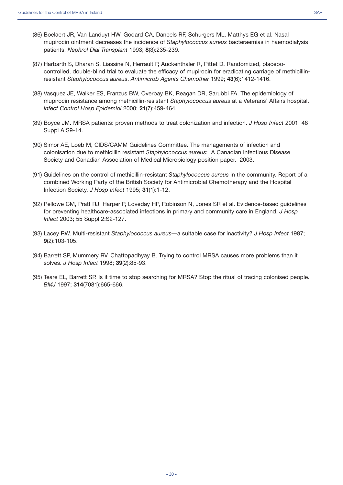- (86) Boelaert JR, Van Landuyt HW, Godard CA, Daneels RF, Schurgers ML, Matthys EG et al. Nasal mupirocin ointment decreases the incidence of *Staphylococcus aureus* bacteraemias in haemodialysis patients. *Nephrol Dial Transplant* 1993; **8**(3):235-239.
- (87) Harbarth S, Dharan S, Liassine N, Herrault P, Auckenthaler R, Pittet D. Randomized, placebocontrolled, double-blind trial to evaluate the efficacy of mupirocin for eradicating carriage of methicillinresistant *Staphylococcus aureus*. *Antimicrob Agents Chemother* 1999; **43**(6):1412-1416.
- (88) Vasquez JE, Walker ES, Franzus BW, Overbay BK, Reagan DR, Sarubbi FA. The epidemiology of mupirocin resistance among methicillin-resistant *Staphylococcus aureus* at a Veterans' Affairs hospital. *Infect Control Hosp Epidemiol* 2000; **21**(7):459-464.
- (89) Boyce JM. MRSA patients: proven methods to treat colonization and infection. *J Hosp Infect* 2001; 48 Suppl A:S9-14.
- (90) Simor AE, Loeb M, CIDS/CAMM Guidelines Committee. The managements of infection and colonisation due to methicillin resistant *Staphylococcus aureus*: A Canadian Infectious Disease Society and Canadian Association of Medical Microbiology position paper. 2003.
- (91) Guidelines on the control of methicillin-resistant *Staphylococcus aureus* in the community. Report of a combined Working Party of the British Society for Antimicrobial Chemotherapy and the Hospital Infection Society. *J Hosp Infect* 1995; **31**(1):1-12.
- (92) Pellowe CM, Pratt RJ, Harper P, Loveday HP, Robinson N, Jones SR et al. Evidence-based guidelines for preventing healthcare-associated infections in primary and community care in England. *J Hosp Infect* 2003; 55 Suppl 2:S2-127.
- (93) Lacey RW. Multi-resistant *Staphylococcus aureus*—a suitable case for inactivity? *J Hosp Infect* 1987; **9**(2):103-105.
- (94) Barrett SP, Mummery RV, Chattopadhyay B. Trying to control MRSA causes more problems than it solves. *J Hosp Infect* 1998; **39**(2):85-93.
- (95) Teare EL, Barrett SP. Is it time to stop searching for MRSA? Stop the ritual of tracing colonised people. *BMJ* 1997; **314**(7081):665-666.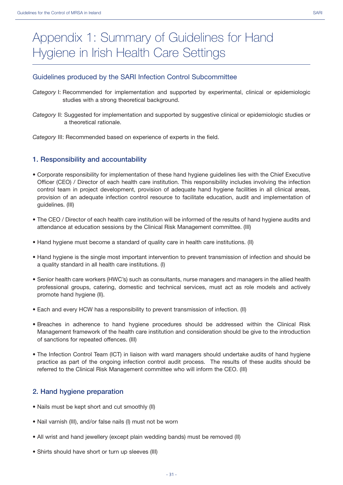#### Guidelines produced by the SARI Infection Control Subcommittee

- *Category* I: Recommended for implementation and supported by experimental, clinical or epidemiologic studies with a strong theoretical background.
- *Category* II: Suggested for implementation and supported by suggestive clinical or epidemiologic studies or a theoretical rationale.

*Category* III: Recommended based on experience of experts in the field.

#### **1. Responsibility and accountability**

- Corporate responsibility for implementation of these hand hygiene guidelines lies with the Chief Executive Officer (CEO) / Director of each health care institution. This responsibility includes involving the infection control team in project development, provision of adequate hand hygiene facilities in all clinical areas, provision of an adequate infection control resource to facilitate education, audit and implementation of guidelines. (III)
- The CEO / Director of each health care institution will be informed of the results of hand hygiene audits and attendance at education sessions by the Clinical Risk Management committee. (III)
- Hand hygiene must become a standard of quality care in health care institutions. (II)
- Hand hygiene is the single most important intervention to prevent transmission of infection and should be a quality standard in all health care institutions. (I)
- Senior health care workers (HWC's) such as consultants, nurse managers and managers in the allied health professional groups, catering, domestic and technical services, must act as role models and actively promote hand hygiene (II).
- Each and every HCW has a responsibility to prevent transmission of infection. (II)
- Breaches in adherence to hand hygiene procedures should be addressed within the Clinical Risk Management framework of the health care institution and consideration should be give to the introduction of sanctions for repeated offences. (III)
- The Infection Control Team (ICT) in liaison with ward managers should undertake audits of hand hygiene practice as part of the ongoing infection control audit process. The results of these audits should be referred to the Clinical Risk Management committee who will inform the CEO. (III)

#### **2. Hand hygiene preparation**

- Nails must be kept short and cut smoothly (II)
- Nail varnish (III), and/or false nails (I) must not be worn
- All wrist and hand jewellery (except plain wedding bands) must be removed (II)
- Shirts should have short or turn up sleeves (III)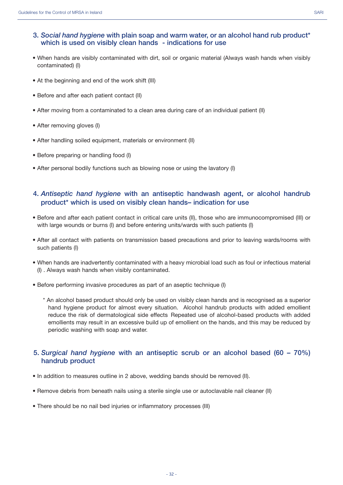- When hands are visibly contaminated with dirt, soil or organic material (Always wash hands when visibly contaminated) (I)
- At the beginning and end of the work shift (III)
- Before and after each patient contact (II)
- After moving from a contaminated to a clean area during care of an individual patient (II)
- After removing gloves (I)
- After handling soiled equipment, materials or environment (II)
- Before preparing or handling food (I)
- After personal bodily functions such as blowing nose or using the lavatory (I)

#### **4.** *Antiseptic hand hygiene* **with an antiseptic handwash agent, or alcohol handrub product\* which is used on visibly clean hands– indication for use**

- Before and after each patient contact in critical care units (II), those who are immunocompromised (III) or with large wounds or burns (I) and before entering units/wards with such patients (I)
- After all contact with patients on transmission based precautions and prior to leaving wards/rooms with such patients (I)
- When hands are inadvertently contaminated with a heavy microbial load such as foul or infectious material (I) . Always wash hands when visibly contaminated.
- Before performing invasive procedures as part of an aseptic technique (I)
	- \* An alcohol based product should only be used on visibly clean hands and is recognised as a superior hand hygiene product for almost every situation. Alcohol handrub products with added emollient reduce the risk of dermatological side effects Repeated use of alcohol-based products with added emollients may result in an excessive build up of emollient on the hands, and this may be reduced by periodic washing with soap and water.

#### **5.** *Surgical hand hygiene* **with an antiseptic scrub or an alcohol based (60 – 70%) handrub product**

- In addition to measures outline in 2 above, wedding bands should be removed (II).
- Remove debris from beneath nails using a sterile single use or autoclavable nail cleaner (II)
- There should be no nail bed injuries or inflammatory processes (III)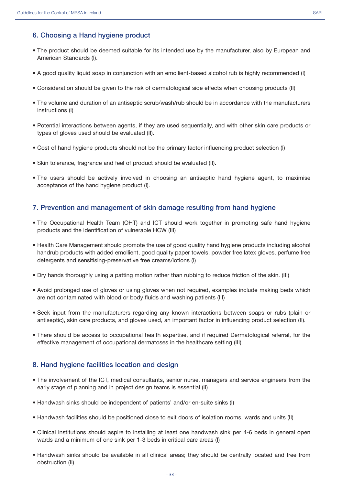#### **6. Choosing a Hand hygiene product**

- The product should be deemed suitable for its intended use by the manufacturer, also by European and American Standards (I).
- A good quality liquid soap in conjunction with an emollient-based alcohol rub is highly recommended (I)
- Consideration should be given to the risk of dermatological side effects when choosing products (II)
- The volume and duration of an antiseptic scrub/wash/rub should be in accordance with the manufacturers instructions (I)
- Potential interactions between agents, if they are used sequentially, and with other skin care products or types of gloves used should be evaluated (II).
- Cost of hand hygiene products should not be the primary factor influencing product selection (I)
- Skin tolerance, fragrance and feel of product should be evaluated (II).
- The users should be actively involved in choosing an antiseptic hand hygiene agent, to maximise acceptance of the hand hygiene product (I).

#### **7. Prevention and management of skin damage resulting from hand hygiene**

- The Occupational Health Team (OHT) and ICT should work together in promoting safe hand hygiene products and the identification of vulnerable HCW (III)
- Health Care Management should promote the use of good quality hand hygiene products including alcohol handrub products with added emollient, good quality paper towels, powder free latex gloves, perfume free detergents and sensitising-preservative free creams/lotions (I)
- Dry hands thoroughly using a patting motion rather than rubbing to reduce friction of the skin. (III)
- Avoid prolonged use of gloves or using gloves when not required, examples include making beds which are not contaminated with blood or body fluids and washing patients (III)
- Seek input from the manufacturers regarding any known interactions between soaps or rubs (plain or antiseptic), skin care products, and gloves used, an important factor in influencing product selection (II).
- There should be access to occupational health expertise, and if required Dermatological referral, for the effective management of occupational dermatoses in the healthcare setting (III).

#### **8. Hand hygiene facilities location and design**

- The involvement of the ICT, medical consultants, senior nurse, managers and service engineers from the early stage of planning and in project design teams is essential (II)
- Handwash sinks should be independent of patients' and/or en-suite sinks (I)
- Handwash facilities should be positioned close to exit doors of isolation rooms, wards and units (II)
- Clinical institutions should aspire to installing at least one handwash sink per 4-6 beds in general open wards and a minimum of one sink per 1-3 beds in critical care areas (I)
- Handwash sinks should be available in all clinical areas; they should be centrally located and free from obstruction (II).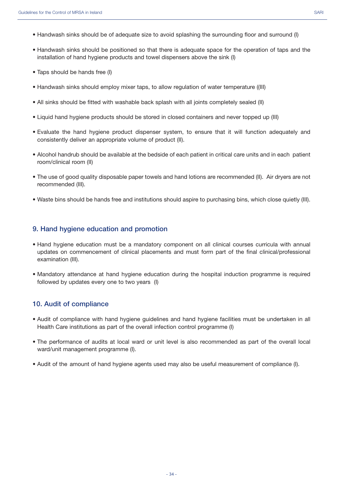- Handwash sinks should be of adequate size to avoid splashing the surrounding floor and surround (I)
- Handwash sinks should be positioned so that there is adequate space for the operation of taps and the installation of hand hygiene products and towel dispensers above the sink (I)
- Taps should be hands free (I)
- Handwash sinks should employ mixer taps, to allow regulation of water temperature ((III)
- All sinks should be fitted with washable back splash with all joints completely sealed (II)
- Liquid hand hygiene products should be stored in closed containers and never topped up (III)
- Evaluate the hand hygiene product dispenser system, to ensure that it will function adequately and consistently deliver an appropriate volume of product (II).
- Alcohol handrub should be available at the bedside of each patient in critical care units and in each patient room/clinical room (II)
- The use of good quality disposable paper towels and hand lotions are recommended (II). Air dryers are not recommended (III).
- Waste bins should be hands free and institutions should aspire to purchasing bins, which close quietly (III).

#### **9. Hand hygiene education and promotion**

- Hand hygiene education must be a mandatory component on all clinical courses curricula with annual updates on commencement of clinical placements and must form part of the final clinical/professional examination (III).
- Mandatory attendance at hand hygiene education during the hospital induction programme is required followed by updates every one to two years (I)

#### **10. Audit of compliance**

- Audit of compliance with hand hygiene guidelines and hand hygiene facilities must be undertaken in all Health Care institutions as part of the overall infection control programme (I)
- The performance of audits at local ward or unit level is also recommended as part of the overall local ward/unit management programme (I).
- Audit of the amount of hand hygiene agents used may also be useful measurement of compliance (I).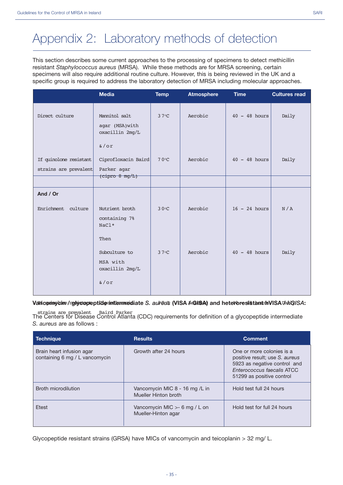# Appendix 2: Laboratory methods of detection

This section describes some current approaches to the processing of specimens to detect methicillin resistant *Staphylococcus aureus* (MRSA). While these methods are for MRSA screening, certain specimens will also require additional routine culture. However, this is being reviewed in the UK and a specific group is required to address the laboratory detection of MRSA including molecular approaches.

|                                                 | <b>Media</b>                                                         | <b>Temp</b>   | <b>Atmosphere</b> | <b>Time</b>     | <b>Cultures read</b> |
|-------------------------------------------------|----------------------------------------------------------------------|---------------|-------------------|-----------------|----------------------|
| Direct culture                                  | Mannitol salt<br>agar (MSA) with<br>oxacillin 2mg/L                  | $37^{\circ}C$ | Aerobic           | $40 - 48$ hours | Daily                |
| If quinolone resistant<br>strains are prevalent | $\delta$ /or<br>Ciprofloxacin Baird<br>Parker agar<br>(cipro 8 mg/L) | 70°C          | Aerobic           | $40 - 48$ hours | Daily                |
| And / Or                                        |                                                                      |               |                   |                 |                      |
| Enrichment culture                              | Nutrient broth<br>containing 7%<br>NaCl*                             | 30°C          | Aerobic           | $16 - 24$ hours | N/A                  |
|                                                 | Then<br>Subculture to<br>MSA with<br>oxacillin 2mg/L                 | $37^{\circ}C$ | Aerobic           | $40 - 48$ hours | Daily                |
|                                                 | $\delta$ /or                                                         |               |                   |                 |                      |

#### **Vancomycine/resiys opeptide intermediate** *S. aureu***s (VISA** *MGNSA***) and heteroresistant IsVISA** *DahQISA***:**

The Centers for Disease Control Atlanta (CDC) requirements for definition of a glycopeptide intermediate strains are prevalent Baird Parker *S. aureus* are as follows :

| <b>Technique</b>                                            | <b>Results</b>                                          | <b>Comment</b>                                                                                                                                                |
|-------------------------------------------------------------|---------------------------------------------------------|---------------------------------------------------------------------------------------------------------------------------------------------------------------|
| Brain heart infusion agar<br>containing 6 mg / L vancomycin | Growth after 24 hours                                   | One or more colonies is a<br>positive result; use S. aureus<br>5923 as negative control and<br><b>Enterococcus faecalis ATCC</b><br>51299 as positive control |
| Broth microdilution                                         | Vancomycin MIC 8 - 16 mg /L in<br>Mueller Hinton broth  | Hold test full 24 hours                                                                                                                                       |
| Etest                                                       | Vancomycin MIC $>$ - 6 mg / L on<br>Mueller-Hinton agar | Hold test for full 24 hours                                                                                                                                   |

Glycopeptide resistant strains (GRSA) have MICs of vancomycin and teicoplanin > 32 mg/ L.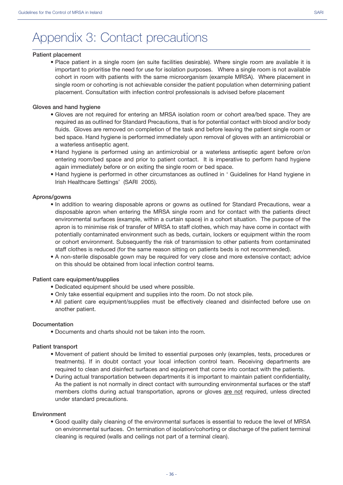### Appendix 3: Contact precautions

#### **Patient placement**

• Place patient in a single room (en suite facilities desirable). Where single room are available it is important to prioritise the need for use for isolation purposes. Where a single room is not available cohort in room with patients with the same microorganism (example MRSA). Where placement in single room or cohorting is not achievable consider the patient population when determining patient placement. Consultation with infection control professionals is advised before placement

#### **Gloves and hand hygiene**

- Gloves are not required for entering an MRSA isolation room or cohort area/bed space. They are required as as outlined for Standard Precautions, that is for potential contact with blood and/or body fluids. Gloves are removed on completion of the task and before leaving the patient single room or bed space. Hand hygiene is performed immediately upon removal of gloves with an antimicrobial or a waterless antiseptic agent.
- Hand hygiene is performed using an antimicrobial or a waterless antiseptic agent before or/on entering room/bed space and prior to patient contact. It is imperative to perform hand hygiene again immediately before or on exiting the single room or bed space.
- Hand hygiene is performed in other circumstances as outlined in ' Guidelines for Hand hygiene in Irish Healthcare Settings' (SARI 2005).

#### **Aprons/gowns**

- In addition to wearing disposable aprons or gowns as outlined for Standard Precautions, wear a disposable apron when entering the MRSA single room and for contact with the patients direct environmental surfaces (example, within a curtain space) in a cohort situation. The purpose of the apron is to minimise risk of transfer of MRSA to staff clothes, which may have come in contact with potentially contaminated environment such as beds, curtain, lockers or equipment within the room or cohort environment. Subsequently the risk of transmission to other patients from contaminated staff clothes is reduced (for the same reason sitting on patients beds is not recommended).
- A non-sterile disposable gown may be required for very close and more extensive contact; advice on this should be obtained from local infection control teams.

#### **Patient care equipment/supplies**

- Dedicated equipment should be used where possible.
- Only take essential equipment and supplies into the room. Do not stock pile.
- All patient care equipment/supplies must be effectively cleaned and disinfected before use on another patient.

#### **Documentation**

• Documents and charts should not be taken into the room.

#### **Patient transport**

- Movement of patient should be limited to essential purposes only (examples, tests, procedures or treatments). If in doubt contact your local infection control team. Receiving departments are required to clean and disinfect surfaces and equipment that come into contact with the patients.
- During actual transportation between departments it is important to maintain patient confidentiality, As the patient is not normally in direct contact with surrounding environmental surfaces or the staff members cloths during actual transportation, aprons or gloves are not required, unless directed under standard precautions.

#### **Environment**

• Good quality daily cleaning of the environmental surfaces is essential to reduce the level of MRSA on environmental surfaces. On termination of isolation/cohorting or discharge of the patient terminal cleaning is required (walls and ceilings not part of a terminal clean).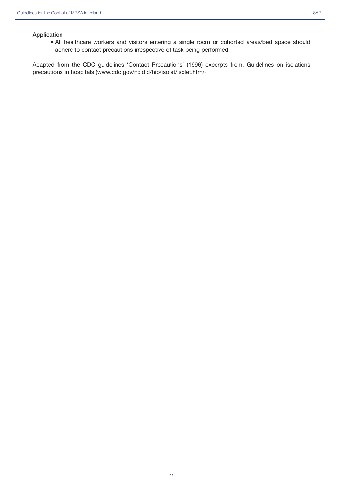#### **Application**

• All healthcare workers and visitors entering a single room or cohorted areas/bed space should adhere to contact precautions irrespective of task being performed.

Adapted from the CDC guidelines 'Contact Precautions' (1996) excerpts from, Guidelines on isolations precautions in hospitals (www.cdc.gov/ncidid/hip/isolat/isolet.htm/)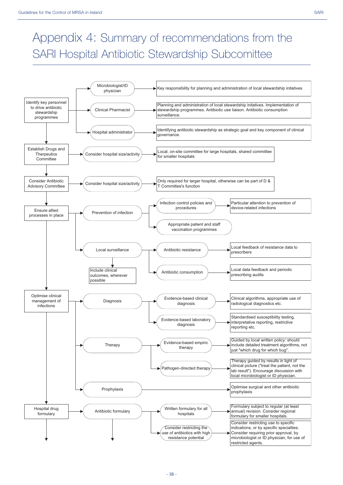## Appendix 4: Summary of recommendations from the SARI Hospital Antibiotic Stewardship Subcomittee

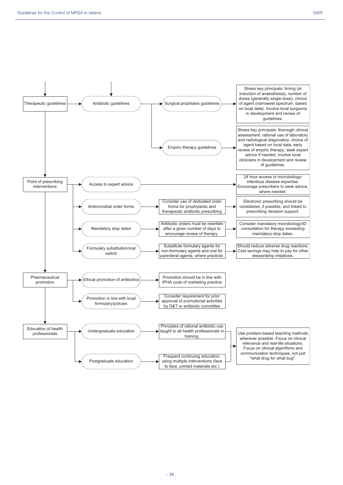